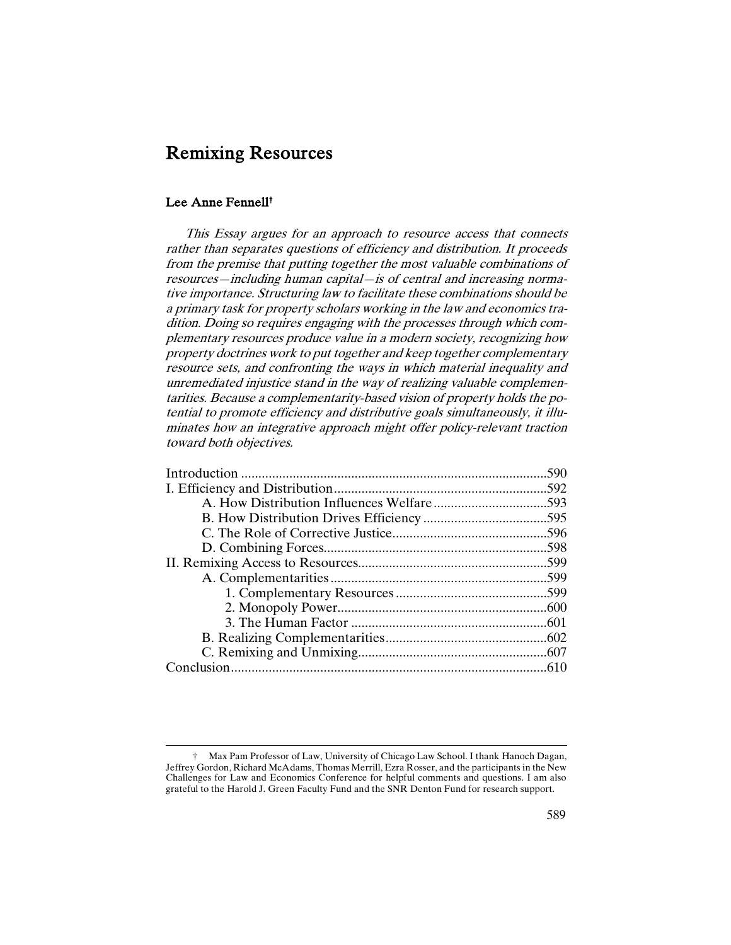# Remixing Resources

# Lee Anne Fennell†

1

This Essay argues for an approach to resource access that connects rather than separates questions of efficiency and distribution. It proceeds from the premise that putting together the most valuable combinations of resources—including human capital—is of central and increasing normative importance. Structuring law to facilitate these combinations should be a primary task for property scholars working in the law and economics tradition. Doing so requires engaging with the processes through which complementary resources produce value in a modern society, recognizing how property doctrines work to put together and keep together complementary resource sets, and confronting the ways in which material inequality and unremediated injustice stand in the way of realizing valuable complementarities. Because a complementarity-based vision of property holds the potential to promote efficiency and distributive goals simultaneously, it illuminates how an integrative approach might offer policy-relevant traction toward both objectives.

<sup>†</sup> Max Pam Professor of Law, University of Chicago Law School. I thank Hanoch Dagan, Jeffrey Gordon, Richard McAdams, Thomas Merrill, Ezra Rosser, and the participants in the New Challenges for Law and Economics Conference for helpful comments and questions. I am also grateful to the Harold J. Green Faculty Fund and the SNR Denton Fund for research support.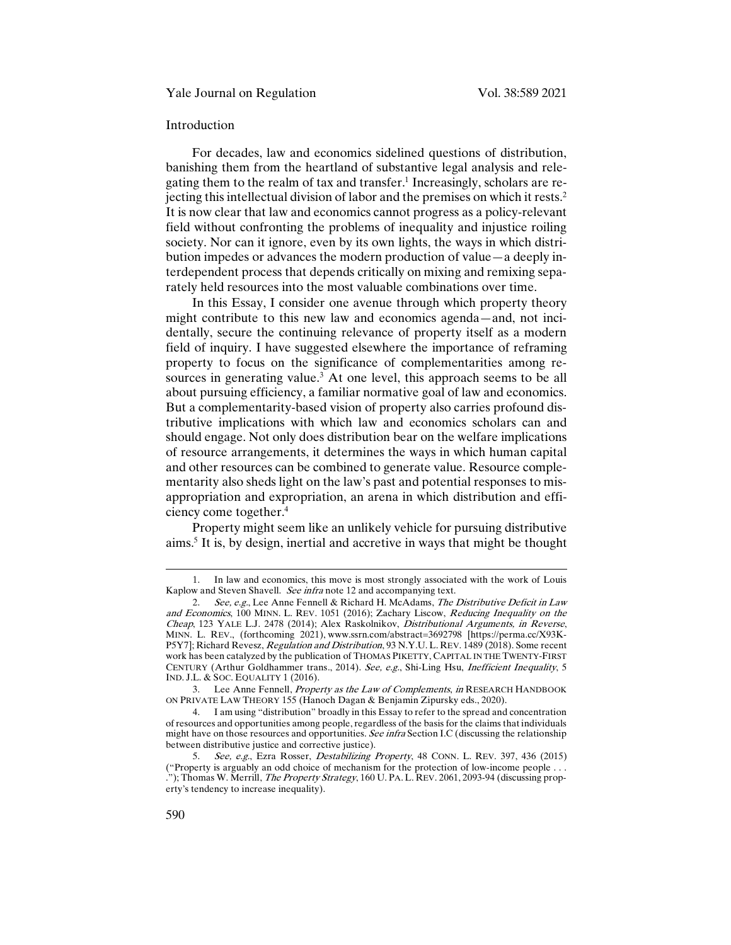## Introduction

For decades, law and economics sidelined questions of distribution, banishing them from the heartland of substantive legal analysis and relegating them to the realm of tax and transfer.1 Increasingly, scholars are rejecting this intellectual division of labor and the premises on which it rests.2 It is now clear that law and economics cannot progress as a policy-relevant field without confronting the problems of inequality and injustice roiling society. Nor can it ignore, even by its own lights, the ways in which distribution impedes or advances the modern production of value—a deeply interdependent process that depends critically on mixing and remixing separately held resources into the most valuable combinations over time.

In this Essay, I consider one avenue through which property theory might contribute to this new law and economics agenda—and, not incidentally, secure the continuing relevance of property itself as a modern field of inquiry. I have suggested elsewhere the importance of reframing property to focus on the significance of complementarities among resources in generating value.<sup>3</sup> At one level, this approach seems to be all about pursuing efficiency, a familiar normative goal of law and economics. But a complementarity-based vision of property also carries profound distributive implications with which law and economics scholars can and should engage. Not only does distribution bear on the welfare implications of resource arrangements, it determines the ways in which human capital and other resources can be combined to generate value. Resource complementarity also sheds light on the law's past and potential responses to misappropriation and expropriation, an arena in which distribution and efficiency come together.4

Property might seem like an unlikely vehicle for pursuing distributive aims.5 It is, by design, inertial and accretive in ways that might be thought

<sup>1.</sup> In law and economics, this move is most strongly associated with the work of Louis Kaplow and Steven Shavell. See infra note 12 and accompanying text.

<sup>2.</sup> See, e.g., Lee Anne Fennell & Richard H. McAdams, The Distributive Deficit in Law and Economics, 100 MINN. L. REV. 1051 (2016); Zachary Liscow, Reducing Inequality on the Cheap, 123 YALE L.J. 2478 (2014); Alex Raskolnikov, Distributional Arguments, in Reverse, MINN. L. REV., (forthcoming 2021), www.ssrn.com/abstract=3692798 [https://perma.cc/X93K-P5Y7]; Richard Revesz, Regulation and Distribution, 93 N.Y.U.L. REV. 1489 (2018). Some recent work has been catalyzed by the publication of THOMAS PIKETTY, CAPITAL IN THE TWENTY-FIRST CENTURY (Arthur Goldhammer trans., 2014). See, e.g., Shi-Ling Hsu, Inefficient Inequality, 5 IND. J.L. & SOC. EQUALITY 1 (2016).

<sup>3.</sup> Lee Anne Fennell, *Property as the Law of Complements*, in RESEARCH HANDBOOK ON PRIVATE LAW THEORY 155 (Hanoch Dagan & Benjamin Zipursky eds., 2020).

<sup>4.</sup> I am using "distribution" broadly in this Essay to refer to the spread and concentration of resources and opportunities among people, regardless of the basis for the claims that individuals might have on those resources and opportunities. See infra Section I.C (discussing the relationship between distributive justice and corrective justice).

<sup>5.</sup> See, e.g., Ezra Rosser, Destabilizing Property, 48 CONN. L. REV. 397, 436 (2015) ("Property is arguably an odd choice of mechanism for the protection of low-income people . . . ."); Thomas W. Merrill, The Property Strategy, 160 U. PA. L. REV. 2061, 2093-94 (discussing property's tendency to increase inequality).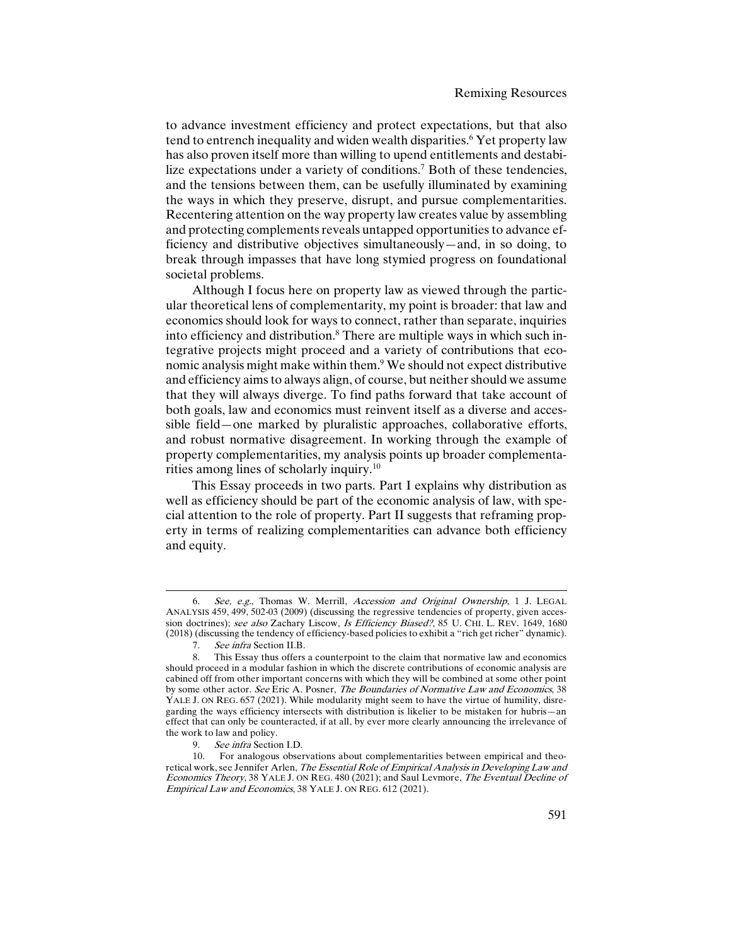to advance investment efficiency and protect expectations, but that also tend to entrench inequality and widen wealth disparities.<sup>6</sup> Yet property law has also proven itself more than willing to upend entitlements and destabilize expectations under a variety of conditions.<sup>7</sup> Both of these tendencies, and the tensions between them, can be usefully illuminated by examining the ways in which they preserve, disrupt, and pursue complementarities. Recentering attention on the way property law creates value by assembling and protecting complements reveals untapped opportunities to advance efficiency and distributive objectives simultaneously—and, in so doing, to break through impasses that have long stymied progress on foundational societal problems.

Although I focus here on property law as viewed through the particular theoretical lens of complementarity, my point is broader: that law and economics should look for ways to connect, rather than separate, inquiries into efficiency and distribution.8 There are multiple ways in which such integrative projects might proceed and a variety of contributions that economic analysis might make within them.9 We should not expect distributive and efficiency aims to always align, of course, but neither should we assume that they will always diverge. To find paths forward that take account of both goals, law and economics must reinvent itself as a diverse and accessible field—one marked by pluralistic approaches, collaborative efforts, and robust normative disagreement. In working through the example of property complementarities, my analysis points up broader complementarities among lines of scholarly inquiry.10

This Essay proceeds in two parts. Part I explains why distribution as well as efficiency should be part of the economic analysis of law, with special attention to the role of property. Part II suggests that reframing property in terms of realizing complementarities can advance both efficiency and equity.

<sup>6.</sup> See, e.g., Thomas W. Merrill, Accession and Original Ownership, 1 J. LEGAL ANALYSIS 459, 499, 502-03 (2009) (discussing the regressive tendencies of property, given accession doctrines); see also Zachary Liscow, Is Efficiency Biased?, 85 U. CHI. L. REV. 1649, 1680 (2018) (discussing the tendency of efficiency-based policies to exhibit a "rich get richer" dynamic).

<sup>7.</sup> See infra Section II.B.<br>8. This Essay thus offers

This Essay thus offers a counterpoint to the claim that normative law and economics should proceed in a modular fashion in which the discrete contributions of economic analysis are cabined off from other important concerns with which they will be combined at some other point by some other actor. See Eric A. Posner, The Boundaries of Normative Law and Economics, 38 YALE J. ON REG. 657 (2021). While modularity might seem to have the virtue of humility, disregarding the ways efficiency intersects with distribution is likelier to be mistaken for hubris—an effect that can only be counteracted, if at all, by ever more clearly announcing the irrelevance of the work to law and policy.

<sup>9.</sup> See infra Section I.D.

<sup>10.</sup> For analogous observations about complementarities between empirical and theoretical work, see Jennifer Arlen, The Essential Role of Empirical Analysis in Developing Law and Economics Theory, 38 YALE J. ON REG. 480 (2021); and Saul Levmore, The Eventual Decline of Empirical Law and Economics, 38 YALE J. ON REG. 612 (2021).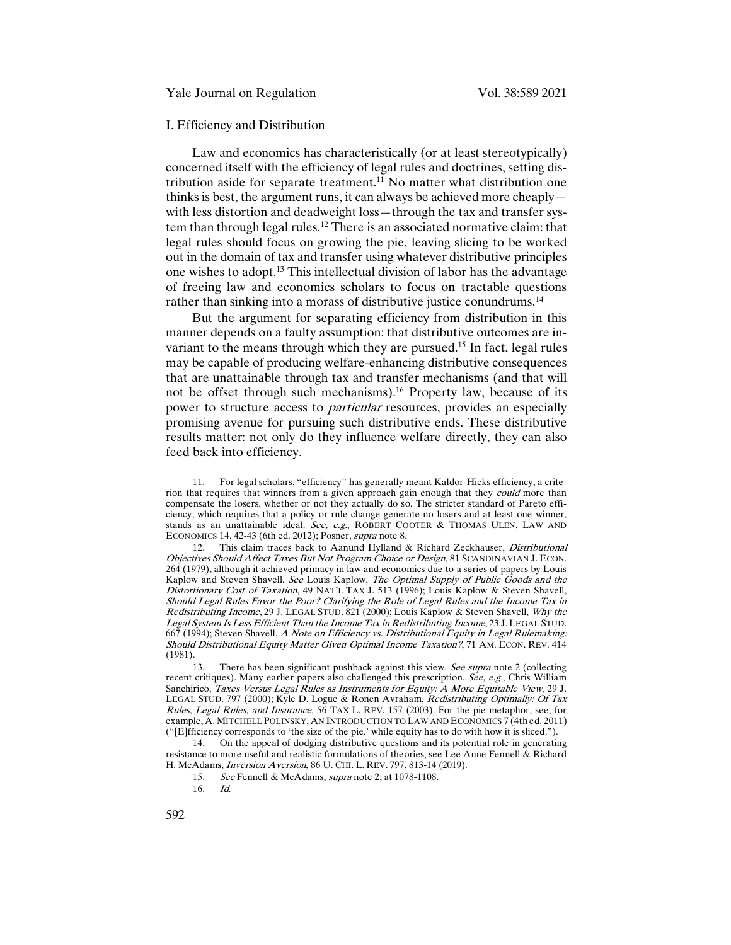#### I. Efficiency and Distribution

Law and economics has characteristically (or at least stereotypically) concerned itself with the efficiency of legal rules and doctrines, setting distribution aside for separate treatment.<sup>11</sup> No matter what distribution one thinks is best, the argument runs, it can always be achieved more cheaply with less distortion and deadweight loss—through the tax and transfer system than through legal rules.<sup>12</sup> There is an associated normative claim: that legal rules should focus on growing the pie, leaving slicing to be worked out in the domain of tax and transfer using whatever distributive principles one wishes to adopt.13 This intellectual division of labor has the advantage of freeing law and economics scholars to focus on tractable questions rather than sinking into a morass of distributive justice conundrums.<sup>14</sup>

But the argument for separating efficiency from distribution in this manner depends on a faulty assumption: that distributive outcomes are invariant to the means through which they are pursued.<sup>15</sup> In fact, legal rules may be capable of producing welfare-enhancing distributive consequences that are unattainable through tax and transfer mechanisms (and that will not be offset through such mechanisms).<sup>16</sup> Property law, because of its power to structure access to *particular* resources, provides an especially promising avenue for pursuing such distributive ends. These distributive results matter: not only do they influence welfare directly, they can also feed back into efficiency.

<sup>11.</sup> For legal scholars, "efficiency" has generally meant Kaldor-Hicks efficiency, a criterion that requires that winners from a given approach gain enough that they could more than compensate the losers, whether or not they actually do so. The stricter standard of Pareto efficiency, which requires that a policy or rule change generate no losers and at least one winner, stands as an unattainable ideal. See, e.g., ROBERT COOTER & THOMAS ULEN, LAW AND ECONOMICS 14, 42-43 (6th ed. 2012); Posner, supra note 8.

<sup>12.</sup> This claim traces back to Aanund Hylland & Richard Zeckhauser, *Distributional* Objectives Should Affect Taxes But Not Program Choice or Design, 81 SCANDINAVIAN J. ECON. 264 (1979), although it achieved primacy in law and economics due to a series of papers by Louis Kaplow and Steven Shavell. *See* Louis Kaplow, *The Optimal Supply of Public Goods and the* Distortionary Cost of Taxation, 49 NAT'L TAX J. 513 (1996); Louis Kaplow & Steven Shavell, Should Legal Rules Favor the Poor? Clarifying the Role of Legal Rules and the Income Tax in Redistributing Income, 29 J. LEGAL STUD. 821 (2000); Louis Kaplow & Steven Shavell, Why the Legal System Is Less Efficient Than the Income Tax in Redistributing Income, 23 J. LEGAL STUD. 667 (1994); Steven Shavell, A Note on Efficiency vs. Distributional Equity in Legal Rulemaking: Should Distributional Equity Matter Given Optimal Income Taxation?, 71 AM. ECON. REV. 414 (1981).

<sup>13.</sup> There has been significant pushback against this view. See supra note 2 (collecting recent critiques). Many earlier papers also challenged this prescription. See, e.g., Chris William Sanchirico, Taxes Versus Legal Rules as Instruments for Equity: A More Equitable View, 29 J. LEGAL STUD. 797 (2000); Kyle D. Logue & Ronen Avraham, Redistributing Optimally: Of Tax Rules, Legal Rules, and Insurance, 56 TAX L. REV. 157 (2003). For the pie metaphor, see, for example, A. MITCHELL POLINSKY, AN INTRODUCTION TO LAW AND ECONOMICS 7 (4th ed. 2011) ("[E]fficiency corresponds to 'the size of the pie,' while equity has to do with how it is sliced.").

<sup>14.</sup> On the appeal of dodging distributive questions and its potential role in generating resistance to more useful and realistic formulations of theories, see Lee Anne Fennell & Richard H. McAdams, Inversion Aversion, 86 U. CHI. L. REV. 797, 813-14 (2019).

<sup>15.</sup> See Fennell & McAdams, supra note 2, at 1078-1108.

<sup>16.</sup> Id.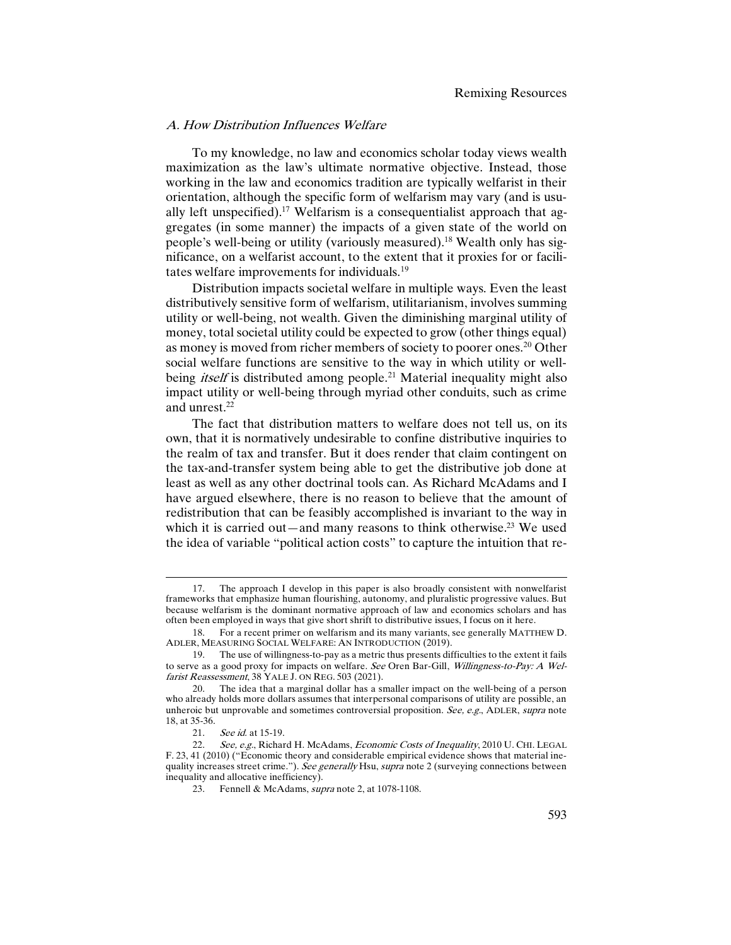#### A. How Distribution Influences Welfare

To my knowledge, no law and economics scholar today views wealth maximization as the law's ultimate normative objective. Instead, those working in the law and economics tradition are typically welfarist in their orientation, although the specific form of welfarism may vary (and is usually left unspecified).<sup>17</sup> Welfarism is a consequentialist approach that aggregates (in some manner) the impacts of a given state of the world on people's well-being or utility (variously measured).<sup>18</sup> Wealth only has significance, on a welfarist account, to the extent that it proxies for or facilitates welfare improvements for individuals.19

Distribution impacts societal welfare in multiple ways. Even the least distributively sensitive form of welfarism, utilitarianism, involves summing utility or well-being, not wealth. Given the diminishing marginal utility of money, total societal utility could be expected to grow (other things equal) as money is moved from richer members of society to poorer ones.<sup>20</sup> Other social welfare functions are sensitive to the way in which utility or wellbeing *itself* is distributed among people.<sup>21</sup> Material inequality might also impact utility or well-being through myriad other conduits, such as crime and unrest.22

The fact that distribution matters to welfare does not tell us, on its own, that it is normatively undesirable to confine distributive inquiries to the realm of tax and transfer. But it does render that claim contingent on the tax-and-transfer system being able to get the distributive job done at least as well as any other doctrinal tools can. As Richard McAdams and I have argued elsewhere, there is no reason to believe that the amount of redistribution that can be feasibly accomplished is invariant to the way in which it is carried out—and many reasons to think otherwise.<sup>23</sup> We used the idea of variable "political action costs" to capture the intuition that re-

<sup>17.</sup> The approach I develop in this paper is also broadly consistent with nonwelfarist frameworks that emphasize human flourishing, autonomy, and pluralistic progressive values. But because welfarism is the dominant normative approach of law and economics scholars and has often been employed in ways that give short shrift to distributive issues, I focus on it here.

<sup>18.</sup> For a recent primer on welfarism and its many variants, see generally MATTHEW D. ADLER, MEASURING SOCIAL WELFARE: AN INTRODUCTION (2019).

<sup>19.</sup> The use of willingness-to-pay as a metric thus presents difficulties to the extent it fails to serve as a good proxy for impacts on welfare. See Oren Bar-Gill, Willingness-to-Pay: A Welfarist Reassessment, 38 YALE J. ON REG. 503 (2021).

<sup>20.</sup> The idea that a marginal dollar has a smaller impact on the well-being of a person who already holds more dollars assumes that interpersonal comparisons of utility are possible, an unheroic but unprovable and sometimes controversial proposition. See, e.g., ADLER, supra note 18, at 35-36.

<sup>21.</sup> See id. at 15-19.

<sup>22.</sup> See, e.g., Richard H. McAdams, Economic Costs of Inequality, 2010 U. CHI. LEGAL F. 23, 41 (2010) ("Economic theory and considerable empirical evidence shows that material inequality increases street crime."). See generally Hsu, supra note 2 (surveying connections between inequality and allocative inefficiency).

<sup>23.</sup> Fennell & McAdams, supra note 2, at 1078-1108.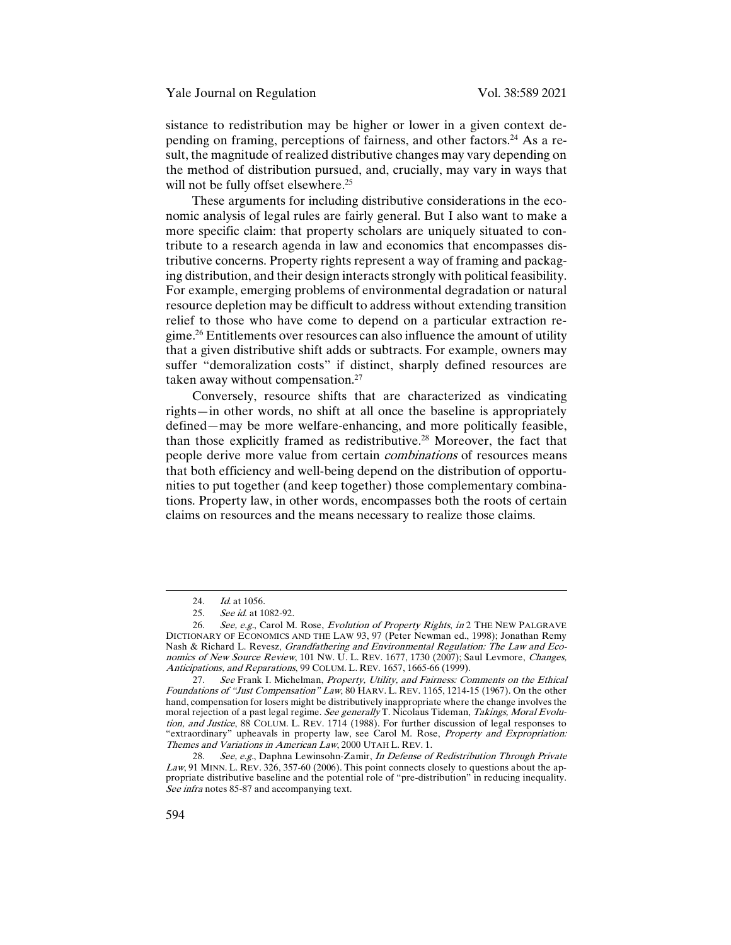sistance to redistribution may be higher or lower in a given context depending on framing, perceptions of fairness, and other factors.<sup>24</sup> As a result, the magnitude of realized distributive changes may vary depending on the method of distribution pursued, and, crucially, may vary in ways that will not be fully offset elsewhere.<sup>25</sup>

These arguments for including distributive considerations in the economic analysis of legal rules are fairly general. But I also want to make a more specific claim: that property scholars are uniquely situated to contribute to a research agenda in law and economics that encompasses distributive concerns. Property rights represent a way of framing and packaging distribution, and their design interacts strongly with political feasibility. For example, emerging problems of environmental degradation or natural resource depletion may be difficult to address without extending transition relief to those who have come to depend on a particular extraction regime.26 Entitlements over resources can also influence the amount of utility that a given distributive shift adds or subtracts. For example, owners may suffer "demoralization costs" if distinct, sharply defined resources are taken away without compensation.<sup>27</sup>

Conversely, resource shifts that are characterized as vindicating rights—in other words, no shift at all once the baseline is appropriately defined—may be more welfare-enhancing, and more politically feasible, than those explicitly framed as redistributive.28 Moreover, the fact that people derive more value from certain combinations of resources means that both efficiency and well-being depend on the distribution of opportunities to put together (and keep together) those complementary combinations. Property law, in other words, encompasses both the roots of certain claims on resources and the means necessary to realize those claims.

<sup>24.</sup> *Id.* at 1056.

<sup>25.</sup> See id. at 1082-92.

<sup>26.</sup> See, e.g., Carol M. Rose, Evolution of Property Rights, in 2 THE NEW PALGRAVE DICTIONARY OF ECONOMICS AND THE LAW 93, 97 (Peter Newman ed., 1998); Jonathan Remy Nash & Richard L. Revesz, *Grandfathering and Environmental Regulation: The Law and Eco*nomics of New Source Review, 101 Nw. U. L. REV. 1677, 1730 (2007); Saul Levmore, Changes, Anticipations, and Reparations, 99 COLUM. L. REV. 1657, 1665-66 (1999).

<sup>27.</sup> See Frank I. Michelman, Property, Utility, and Fairness: Comments on the Ethical Foundations of "Just Compensation" Law, 80 HARV. L. REV. 1165, 1214-15 (1967). On the other hand, compensation for losers might be distributively inappropriate where the change involves the moral rejection of a past legal regime. See generally T. Nicolaus Tideman, Takings, Moral Evolution, and Justice, 88 COLUM. L. REV. 1714 (1988). For further discussion of legal responses to "extraordinary" upheavals in property law, see Carol M. Rose, Property and Expropriation: Themes and Variations in American Law, 2000 UTAH L. REV. 1.

<sup>28.</sup> See, e.g., Daphna Lewinsohn-Zamir, In Defense of Redistribution Through Private Law, 91 MINN. L. REV. 326, 357-60 (2006). This point connects closely to questions about the appropriate distributive baseline and the potential role of "pre-distribution" in reducing inequality. See infra notes 85-87 and accompanying text.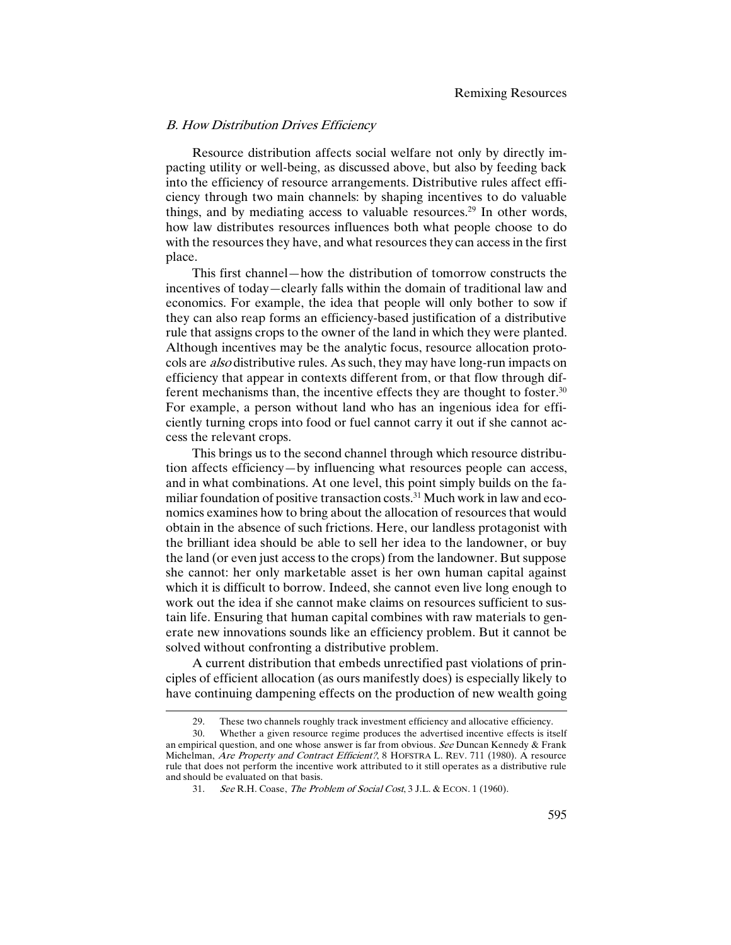## B. How Distribution Drives Efficiency

Resource distribution affects social welfare not only by directly impacting utility or well-being, as discussed above, but also by feeding back into the efficiency of resource arrangements. Distributive rules affect efficiency through two main channels: by shaping incentives to do valuable things, and by mediating access to valuable resources.<sup>29</sup> In other words, how law distributes resources influences both what people choose to do with the resources they have, and what resources they can access in the first place.

This first channel—how the distribution of tomorrow constructs the incentives of today—clearly falls within the domain of traditional law and economics. For example, the idea that people will only bother to sow if they can also reap forms an efficiency-based justification of a distributive rule that assigns crops to the owner of the land in which they were planted. Although incentives may be the analytic focus, resource allocation protocols are *also* distributive rules. As such, they may have long-run impacts on efficiency that appear in contexts different from, or that flow through different mechanisms than, the incentive effects they are thought to foster.<sup>30</sup> For example, a person without land who has an ingenious idea for efficiently turning crops into food or fuel cannot carry it out if she cannot access the relevant crops.

This brings us to the second channel through which resource distribution affects efficiency—by influencing what resources people can access, and in what combinations. At one level, this point simply builds on the familiar foundation of positive transaction costs.<sup>31</sup> Much work in law and economics examines how to bring about the allocation of resources that would obtain in the absence of such frictions. Here, our landless protagonist with the brilliant idea should be able to sell her idea to the landowner, or buy the land (or even just access to the crops) from the landowner. But suppose she cannot: her only marketable asset is her own human capital against which it is difficult to borrow. Indeed, she cannot even live long enough to work out the idea if she cannot make claims on resources sufficient to sustain life. Ensuring that human capital combines with raw materials to generate new innovations sounds like an efficiency problem. But it cannot be solved without confronting a distributive problem.

A current distribution that embeds unrectified past violations of principles of efficient allocation (as ours manifestly does) is especially likely to have continuing dampening effects on the production of new wealth going

<sup>29.</sup> These two channels roughly track investment efficiency and allocative efficiency.

<sup>30.</sup> Whether a given resource regime produces the advertised incentive effects is itself an empirical question, and one whose answer is far from obvious. See Duncan Kennedy  $&$  Frank Michelman, *Are Property and Contract Efficient?*, 8 HOFSTRA L. REV. 711 (1980). A resource rule that does not perform the incentive work attributed to it still operates as a distributive rule and should be evaluated on that basis.

<sup>31.</sup> See R.H. Coase, The Problem of Social Cost, 3 J.L. & ECON. 1 (1960).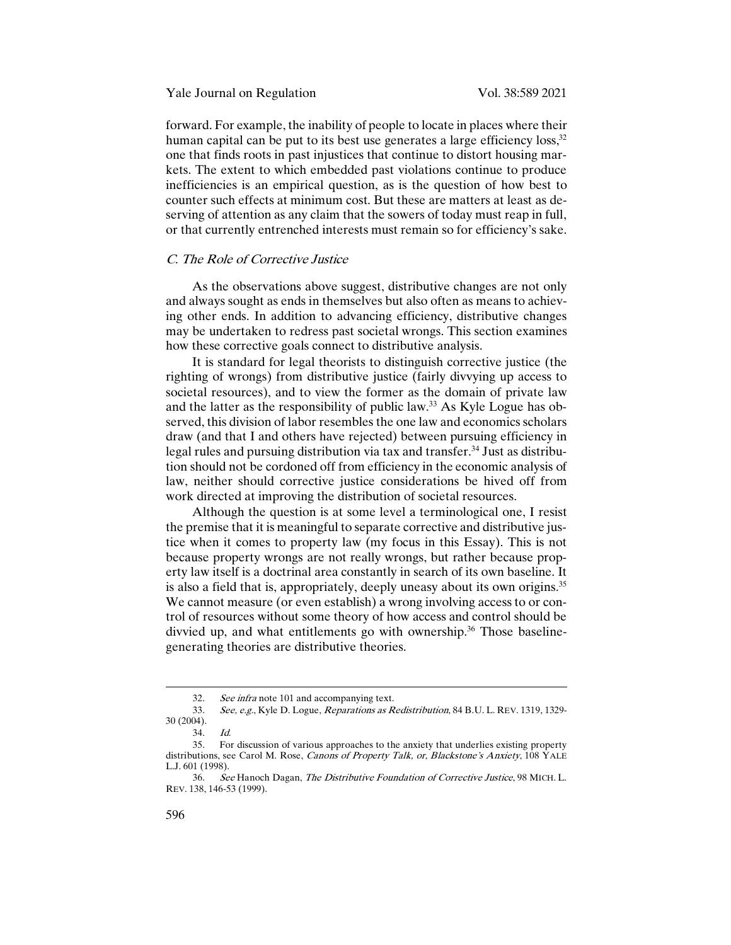forward. For example, the inability of people to locate in places where their human capital can be put to its best use generates a large efficiency  $loss$ <sup>32</sup> one that finds roots in past injustices that continue to distort housing markets. The extent to which embedded past violations continue to produce inefficiencies is an empirical question, as is the question of how best to counter such effects at minimum cost. But these are matters at least as deserving of attention as any claim that the sowers of today must reap in full, or that currently entrenched interests must remain so for efficiency's sake.

# C. The Role of Corrective Justice

As the observations above suggest, distributive changes are not only and always sought as ends in themselves but also often as means to achieving other ends. In addition to advancing efficiency, distributive changes may be undertaken to redress past societal wrongs. This section examines how these corrective goals connect to distributive analysis.

It is standard for legal theorists to distinguish corrective justice (the righting of wrongs) from distributive justice (fairly divvying up access to societal resources), and to view the former as the domain of private law and the latter as the responsibility of public law.33 As Kyle Logue has observed, this division of labor resembles the one law and economics scholars draw (and that I and others have rejected) between pursuing efficiency in legal rules and pursuing distribution via tax and transfer.<sup>34</sup> Just as distribution should not be cordoned off from efficiency in the economic analysis of law, neither should corrective justice considerations be hived off from work directed at improving the distribution of societal resources.

Although the question is at some level a terminological one, I resist the premise that it is meaningful to separate corrective and distributive justice when it comes to property law (my focus in this Essay). This is not because property wrongs are not really wrongs, but rather because property law itself is a doctrinal area constantly in search of its own baseline. It is also a field that is, appropriately, deeply uneasy about its own origins.<sup>35</sup> We cannot measure (or even establish) a wrong involving access to or control of resources without some theory of how access and control should be divvied up, and what entitlements go with ownership.<sup>36</sup> Those baselinegenerating theories are distributive theories.

<sup>32.</sup> See infra note 101 and accompanying text.

<sup>33.</sup> See, e.g., Kyle D. Logue, Reparations as Redistribution, 84 B.U. L. REV. 1319, 1329-30 (2004).

<sup>34.</sup> Id.

<sup>35.</sup> For discussion of various approaches to the anxiety that underlies existing property distributions, see Carol M. Rose, Canons of Property Talk, or, Blackstone's Anxiety, 108 YALE L.J. 601 (1998).

<sup>36.</sup> See Hanoch Dagan, The Distributive Foundation of Corrective Justice, 98 MICH. L. REV. 138, 146-53 (1999).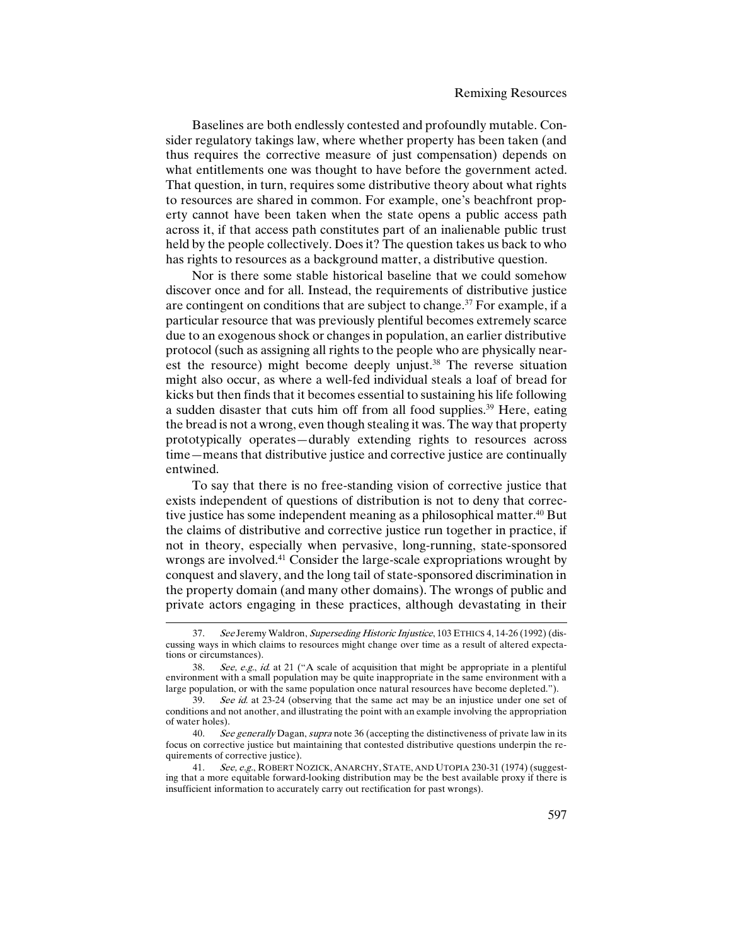Baselines are both endlessly contested and profoundly mutable. Consider regulatory takings law, where whether property has been taken (and thus requires the corrective measure of just compensation) depends on what entitlements one was thought to have before the government acted. That question, in turn, requires some distributive theory about what rights to resources are shared in common. For example, one's beachfront property cannot have been taken when the state opens a public access path across it, if that access path constitutes part of an inalienable public trust held by the people collectively. Does it? The question takes us back to who has rights to resources as a background matter, a distributive question.

Nor is there some stable historical baseline that we could somehow discover once and for all. Instead, the requirements of distributive justice are contingent on conditions that are subject to change.<sup>37</sup> For example, if a particular resource that was previously plentiful becomes extremely scarce due to an exogenous shock or changes in population, an earlier distributive protocol (such as assigning all rights to the people who are physically nearest the resource) might become deeply unjust.<sup>38</sup> The reverse situation might also occur, as where a well-fed individual steals a loaf of bread for kicks but then finds that it becomes essential to sustaining his life following a sudden disaster that cuts him off from all food supplies.39 Here, eating the bread is not a wrong, even though stealing it was. The way that property prototypically operates—durably extending rights to resources across time—means that distributive justice and corrective justice are continually entwined.

To say that there is no free-standing vision of corrective justice that exists independent of questions of distribution is not to deny that corrective justice has some independent meaning as a philosophical matter.<sup>40</sup> But the claims of distributive and corrective justice run together in practice, if not in theory, especially when pervasive, long-running, state-sponsored wrongs are involved.<sup>41</sup> Consider the large-scale expropriations wrought by conquest and slavery, and the long tail of state-sponsored discrimination in the property domain (and many other domains). The wrongs of public and private actors engaging in these practices, although devastating in their

<sup>37.</sup> See Jeremy Waldron, Superseding Historic Injustice, 103 ETHICS 4, 14-26 (1992) (discussing ways in which claims to resources might change over time as a result of altered expectations or circumstances).

<sup>38.</sup> See, e.g., id. at 21 ("A scale of acquisition that might be appropriate in a plentiful environment with a small population may be quite inappropriate in the same environment with a large population, or with the same population once natural resources have become depleted.").<br>39. See id. at 23-24 (observing that the same act may be an injustice under one set of

See id. at 23-24 (observing that the same act may be an injustice under one set of conditions and not another, and illustrating the point with an example involving the appropriation of water holes).

<sup>40.</sup> See generally Dagan, supra note 36 (accepting the distinctiveness of private law in its focus on corrective justice but maintaining that contested distributive questions underpin the requirements of corrective justice).

<sup>41.</sup> See, e.g., ROBERT NOZICK, ANARCHY, STATE, AND UTOPIA 230-31 (1974) (suggesting that a more equitable forward-looking distribution may be the best available proxy if there is insufficient information to accurately carry out rectification for past wrongs).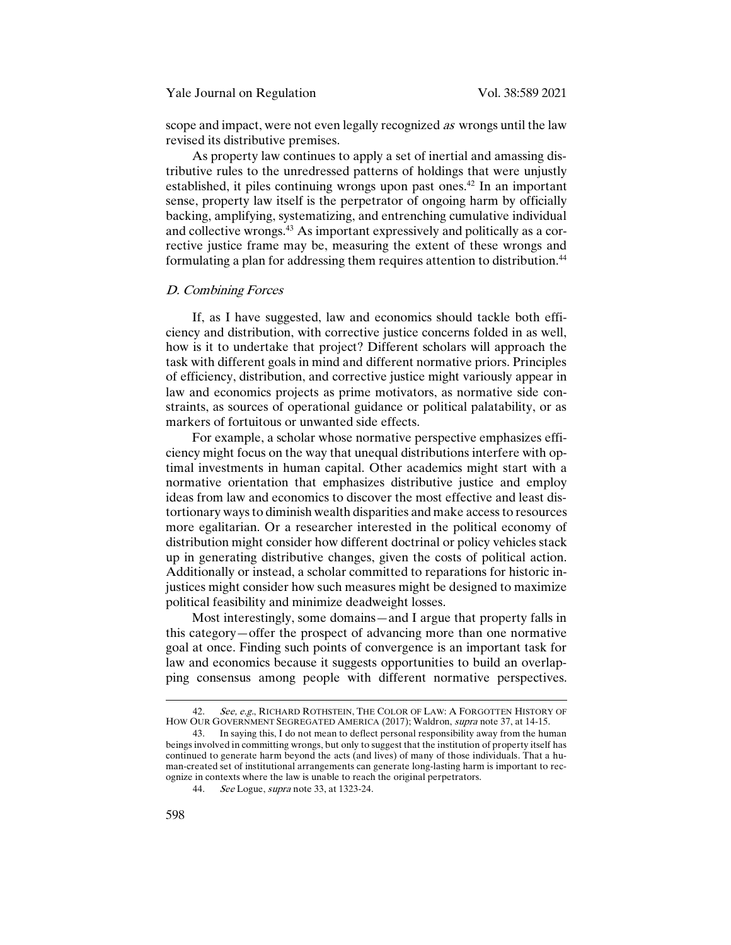scope and impact, were not even legally recognized *as* wrongs until the law revised its distributive premises.

As property law continues to apply a set of inertial and amassing distributive rules to the unredressed patterns of holdings that were unjustly established, it piles continuing wrongs upon past ones.<sup>42</sup> In an important sense, property law itself is the perpetrator of ongoing harm by officially backing, amplifying, systematizing, and entrenching cumulative individual and collective wrongs.43 As important expressively and politically as a corrective justice frame may be, measuring the extent of these wrongs and formulating a plan for addressing them requires attention to distribution.<sup>44</sup>

#### D. Combining Forces

If, as I have suggested, law and economics should tackle both efficiency and distribution, with corrective justice concerns folded in as well, how is it to undertake that project? Different scholars will approach the task with different goals in mind and different normative priors. Principles of efficiency, distribution, and corrective justice might variously appear in law and economics projects as prime motivators, as normative side constraints, as sources of operational guidance or political palatability, or as markers of fortuitous or unwanted side effects.

For example, a scholar whose normative perspective emphasizes efficiency might focus on the way that unequal distributions interfere with optimal investments in human capital. Other academics might start with a normative orientation that emphasizes distributive justice and employ ideas from law and economics to discover the most effective and least distortionary ways to diminish wealth disparities and make access to resources more egalitarian. Or a researcher interested in the political economy of distribution might consider how different doctrinal or policy vehicles stack up in generating distributive changes, given the costs of political action. Additionally or instead, a scholar committed to reparations for historic injustices might consider how such measures might be designed to maximize political feasibility and minimize deadweight losses.

Most interestingly, some domains—and I argue that property falls in this category—offer the prospect of advancing more than one normative goal at once. Finding such points of convergence is an important task for law and economics because it suggests opportunities to build an overlapping consensus among people with different normative perspectives.

<sup>42.</sup> See, e.g., RICHARD ROTHSTEIN, THE COLOR OF LAW: A FORGOTTEN HISTORY OF HOW OUR GOVERNMENT SEGREGATED AMERICA (2017); Waldron, supra note 37, at 14-15.

<sup>43.</sup> In saying this, I do not mean to deflect personal responsibility away from the human beings involved in committing wrongs, but only to suggest that the institution of property itself has continued to generate harm beyond the acts (and lives) of many of those individuals. That a human-created set of institutional arrangements can generate long-lasting harm is important to recognize in contexts where the law is unable to reach the original perpetrators.

<sup>44.</sup> See Logue, supra note 33, at 1323-24.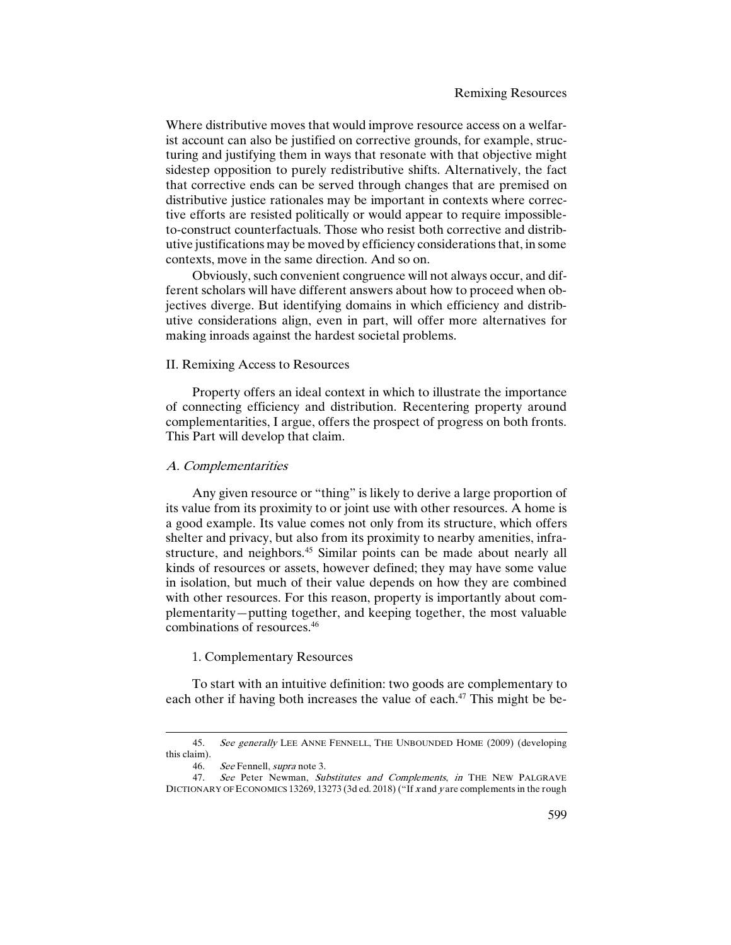Where distributive moves that would improve resource access on a welfarist account can also be justified on corrective grounds, for example, structuring and justifying them in ways that resonate with that objective might sidestep opposition to purely redistributive shifts. Alternatively, the fact that corrective ends can be served through changes that are premised on distributive justice rationales may be important in contexts where corrective efforts are resisted politically or would appear to require impossibleto-construct counterfactuals. Those who resist both corrective and distributive justifications may be moved by efficiency considerations that, in some contexts, move in the same direction. And so on.

Obviously, such convenient congruence will not always occur, and different scholars will have different answers about how to proceed when objectives diverge. But identifying domains in which efficiency and distributive considerations align, even in part, will offer more alternatives for making inroads against the hardest societal problems.

# II. Remixing Access to Resources

Property offers an ideal context in which to illustrate the importance of connecting efficiency and distribution. Recentering property around complementarities, I argue, offers the prospect of progress on both fronts. This Part will develop that claim.

# A. Complementarities

Any given resource or "thing" is likely to derive a large proportion of its value from its proximity to or joint use with other resources. A home is a good example. Its value comes not only from its structure, which offers shelter and privacy, but also from its proximity to nearby amenities, infrastructure, and neighbors.<sup>45</sup> Similar points can be made about nearly all kinds of resources or assets, however defined; they may have some value in isolation, but much of their value depends on how they are combined with other resources. For this reason, property is importantly about complementarity—putting together, and keeping together, the most valuable combinations of resources.46

## 1. Complementary Resources

To start with an intuitive definition: two goods are complementary to each other if having both increases the value of each.<sup>47</sup> This might be be-

<sup>45.</sup> See generally LEE ANNE FENNELL, THE UNBOUNDED HOME (2009) (developing this claim).<br> $46.$ 

See Fennell, supra note 3.

<sup>47.</sup> See Peter Newman, Substitutes and Complements, in THE NEW PALGRAVE DICTIONARY OF ECONOMICS 13269, 13273 (3d ed. 2018) ("If x and y are complements in the rough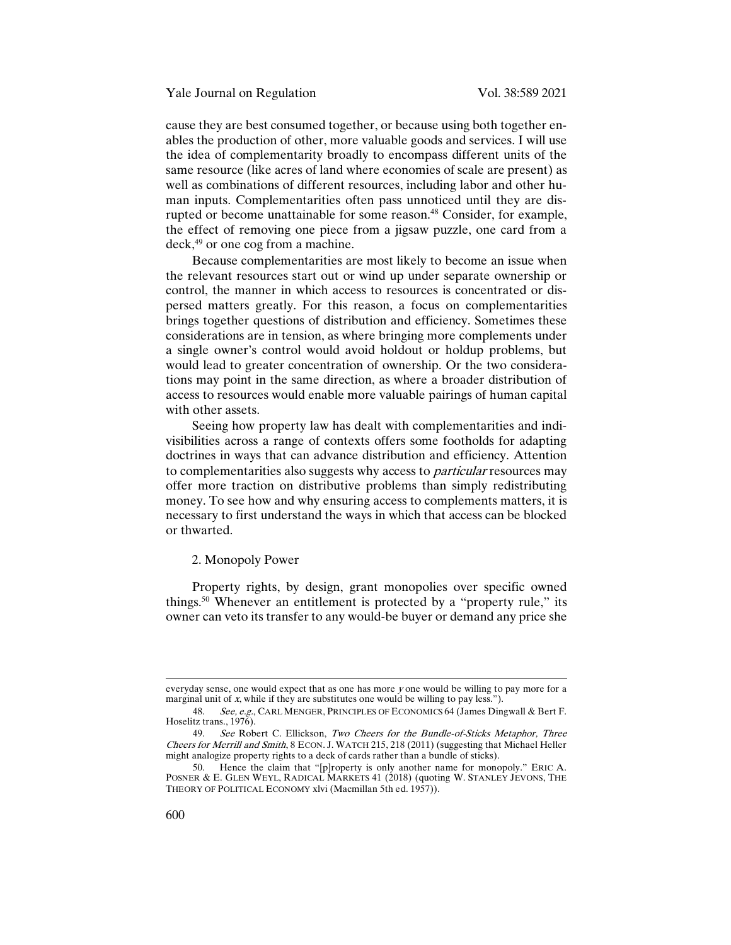cause they are best consumed together, or because using both together enables the production of other, more valuable goods and services. I will use the idea of complementarity broadly to encompass different units of the same resource (like acres of land where economies of scale are present) as well as combinations of different resources, including labor and other human inputs. Complementarities often pass unnoticed until they are disrupted or become unattainable for some reason.<sup>48</sup> Consider, for example, the effect of removing one piece from a jigsaw puzzle, one card from a deck,49 or one cog from a machine.

Because complementarities are most likely to become an issue when the relevant resources start out or wind up under separate ownership or control, the manner in which access to resources is concentrated or dispersed matters greatly. For this reason, a focus on complementarities brings together questions of distribution and efficiency. Sometimes these considerations are in tension, as where bringing more complements under a single owner's control would avoid holdout or holdup problems, but would lead to greater concentration of ownership. Or the two considerations may point in the same direction, as where a broader distribution of access to resources would enable more valuable pairings of human capital with other assets.

Seeing how property law has dealt with complementarities and indivisibilities across a range of contexts offers some footholds for adapting doctrines in ways that can advance distribution and efficiency. Attention to complementarities also suggests why access to *particular* resources may offer more traction on distributive problems than simply redistributing money. To see how and why ensuring access to complements matters, it is necessary to first understand the ways in which that access can be blocked or thwarted.

#### 2. Monopoly Power

Property rights, by design, grant monopolies over specific owned things.50 Whenever an entitlement is protected by a "property rule," its owner can veto its transfer to any would-be buyer or demand any price she

everyday sense, one would expect that as one has more  $y$  one would be willing to pay more for a marginal unit of x, while if they are substitutes one would be willing to pay less.").

<sup>48.</sup> See, e.g., CARL MENGER, PRINCIPLES OF ECONOMICS 64 (James Dingwall & Bert F. Hoselitz trans., 1976).

<sup>49.</sup> See Robert C. Ellickson, Two Cheers for the Bundle-of-Sticks Metaphor, Three Cheers for Merrill and Smith, 8 ECON. J. WATCH 215, 218 (2011) (suggesting that Michael Heller might analogize property rights to a deck of cards rather than a bundle of sticks).

<sup>50.</sup> Hence the claim that "[p]roperty is only another name for monopoly." ERIC A. POSNER & E. GLEN WEYL, RADICAL MARKETS 41 (2018) (quoting W. STANLEY JEVONS, THE THEORY OF POLITICAL ECONOMY xlvi (Macmillan 5th ed. 1957)).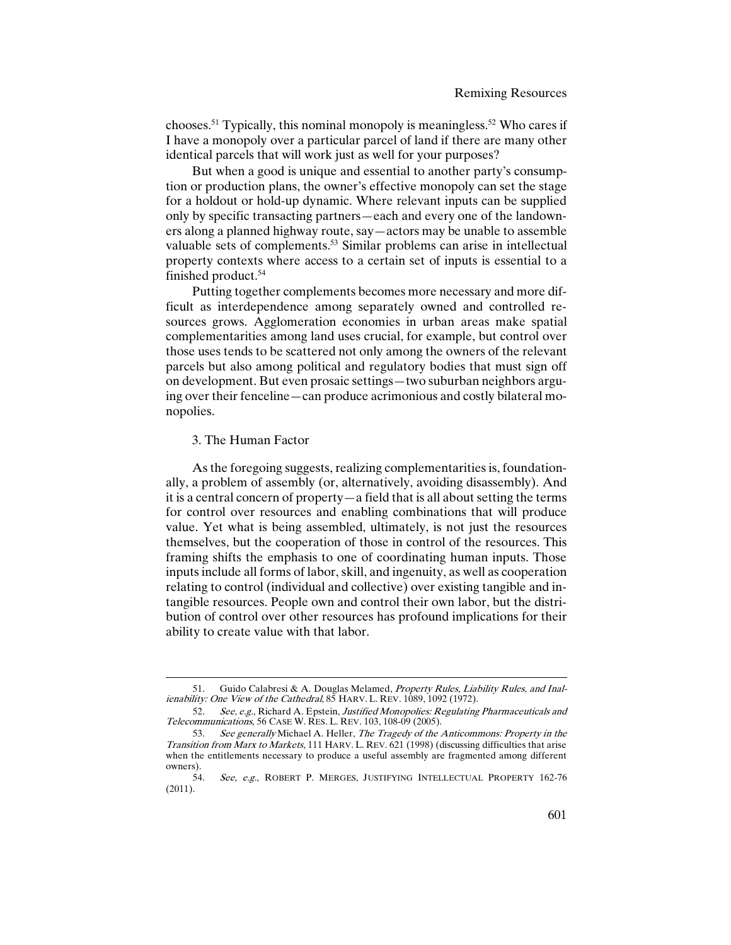chooses.51 Typically, this nominal monopoly is meaningless.52 Who cares if I have a monopoly over a particular parcel of land if there are many other identical parcels that will work just as well for your purposes?

But when a good is unique and essential to another party's consumption or production plans, the owner's effective monopoly can set the stage for a holdout or hold-up dynamic. Where relevant inputs can be supplied only by specific transacting partners—each and every one of the landowners along a planned highway route, say—actors may be unable to assemble valuable sets of complements.<sup>53</sup> Similar problems can arise in intellectual property contexts where access to a certain set of inputs is essential to a finished product.54

Putting together complements becomes more necessary and more difficult as interdependence among separately owned and controlled resources grows. Agglomeration economies in urban areas make spatial complementarities among land uses crucial, for example, but control over those uses tends to be scattered not only among the owners of the relevant parcels but also among political and regulatory bodies that must sign off on development. But even prosaic settings—two suburban neighbors arguing over their fenceline—can produce acrimonious and costly bilateral monopolies.

## 3. The Human Factor

1

As the foregoing suggests, realizing complementarities is, foundationally, a problem of assembly (or, alternatively, avoiding disassembly). And it is a central concern of property—a field that is all about setting the terms for control over resources and enabling combinations that will produce value. Yet what is being assembled, ultimately, is not just the resources themselves, but the cooperation of those in control of the resources. This framing shifts the emphasis to one of coordinating human inputs. Those inputs include all forms of labor, skill, and ingenuity, as well as cooperation relating to control (individual and collective) over existing tangible and intangible resources. People own and control their own labor, but the distribution of control over other resources has profound implications for their ability to create value with that labor.

<sup>51.</sup> Guido Calabresi & A. Douglas Melamed, Property Rules, Liability Rules, and Inalienability: One View of the Cathedral, 85 HARV. L. REV. 1089, 1092 (1972).

<sup>52.</sup> See, e.g., Richard A. Epstein, Justified Monopolies: Regulating Pharmaceuticals and Telecommunications, 56 CASE W. RES. L. REV. 103, 108-09 (2005).

<sup>53.</sup> See generally Michael A. Heller, The Tragedy of the Anticommons: Property in the Transition from Marx to Markets, 111 HARV. L. REV. 621 (1998) (discussing difficulties that arise when the entitlements necessary to produce a useful assembly are fragmented among different owners).

<sup>54.</sup> See, e.g., ROBERT P. MERGES, JUSTIFYING INTELLECTUAL PROPERTY 162-76  $(2011).$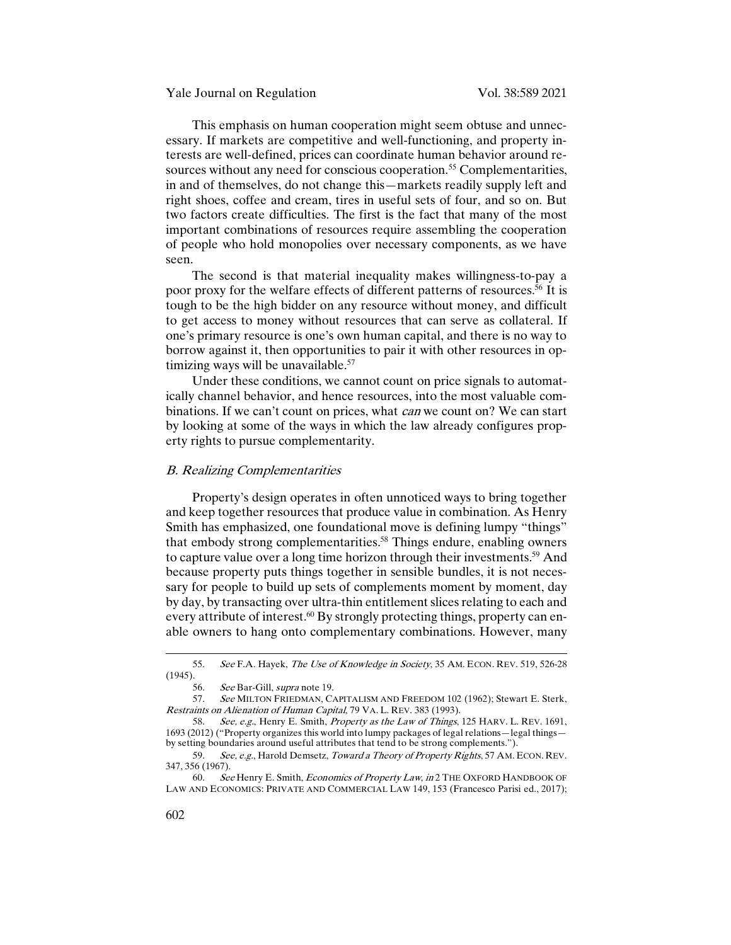This emphasis on human cooperation might seem obtuse and unnecessary. If markets are competitive and well-functioning, and property interests are well-defined, prices can coordinate human behavior around resources without any need for conscious cooperation.<sup>55</sup> Complementarities, in and of themselves, do not change this—markets readily supply left and right shoes, coffee and cream, tires in useful sets of four, and so on. But two factors create difficulties. The first is the fact that many of the most important combinations of resources require assembling the cooperation of people who hold monopolies over necessary components, as we have seen.

The second is that material inequality makes willingness-to-pay a poor proxy for the welfare effects of different patterns of resources.<sup>56</sup> It is tough to be the high bidder on any resource without money, and difficult to get access to money without resources that can serve as collateral. If one's primary resource is one's own human capital, and there is no way to borrow against it, then opportunities to pair it with other resources in optimizing ways will be unavailable.<sup>57</sup>

Under these conditions, we cannot count on price signals to automatically channel behavior, and hence resources, into the most valuable combinations. If we can't count on prices, what *can* we count on? We can start by looking at some of the ways in which the law already configures property rights to pursue complementarity.

# B. Realizing Complementarities

Property's design operates in often unnoticed ways to bring together and keep together resources that produce value in combination. As Henry Smith has emphasized, one foundational move is defining lumpy "things" that embody strong complementarities.<sup>58</sup> Things endure, enabling owners to capture value over a long time horizon through their investments.<sup>59</sup> And because property puts things together in sensible bundles, it is not necessary for people to build up sets of complements moment by moment, day by day, by transacting over ultra-thin entitlement slices relating to each and every attribute of interest.<sup>60</sup> By strongly protecting things, property can enable owners to hang onto complementary combinations. However, many

<sup>55.</sup> See F.A. Hayek, The Use of Knowledge in Society, 35 AM. ECON. REV. 519, 526-28 (1945).

<sup>56.</sup> See Bar-Gill, supra note 19.

<sup>57.</sup> See MILTON FRIEDMAN, CAPITALISM AND FREEDOM 102 (1962); Stewart E. Sterk, Restraints on Alienation of Human Capital, 79 VA. L. REV. 383 (1993).<br>58. See e.g. Henry E. Smith, *Property as the Law of Things*.

See, e.g., Henry E. Smith, Property as the Law of Things, 125 HARV. L. REV. 1691, 1693 (2012) ("Property organizes this world into lumpy packages of legal relations—legal things by setting boundaries around useful attributes that tend to be strong complements.").

<sup>59.</sup> See, e.g., Harold Demsetz, Toward a Theory of Property Rights, 57 AM. ECON. REV. 347, 356 (1967).

<sup>60.</sup> See Henry E. Smith, Economics of Property Law, in 2 THE OXFORD HANDBOOK OF LAW AND ECONOMICS: PRIVATE AND COMMERCIAL LAW 149, 153 (Francesco Parisi ed., 2017);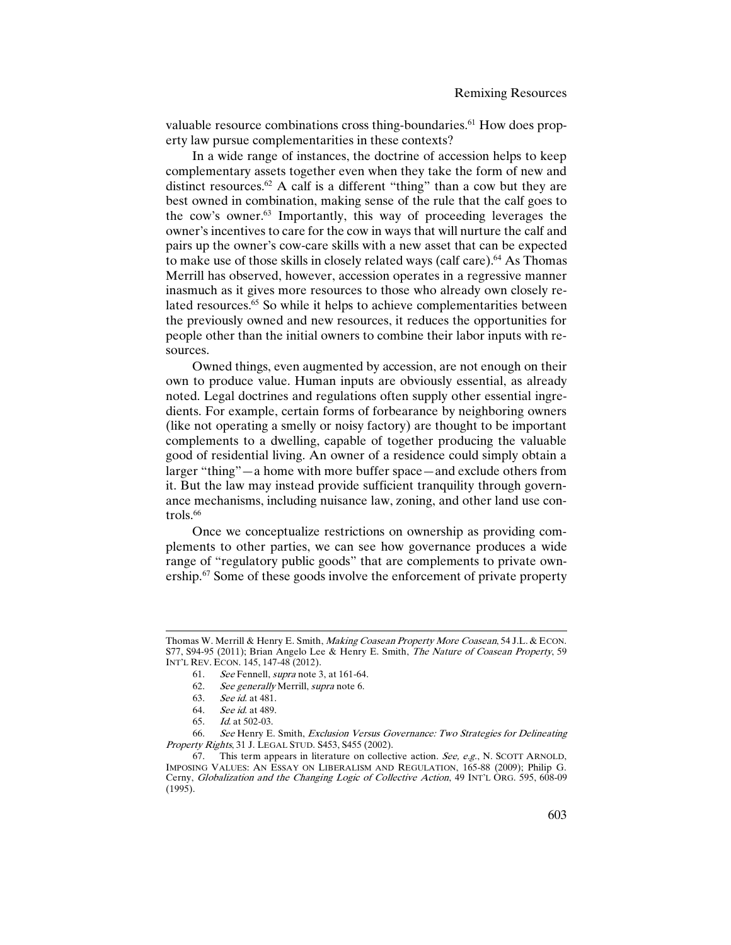valuable resource combinations cross thing-boundaries.<sup>61</sup> How does property law pursue complementarities in these contexts?

In a wide range of instances, the doctrine of accession helps to keep complementary assets together even when they take the form of new and distinct resources.<sup>62</sup> A calf is a different "thing" than a cow but they are best owned in combination, making sense of the rule that the calf goes to the cow's owner.63 Importantly, this way of proceeding leverages the owner's incentives to care for the cow in ways that will nurture the calf and pairs up the owner's cow-care skills with a new asset that can be expected to make use of those skills in closely related ways (calf care).64 As Thomas Merrill has observed, however, accession operates in a regressive manner inasmuch as it gives more resources to those who already own closely related resources.<sup>65</sup> So while it helps to achieve complementarities between the previously owned and new resources, it reduces the opportunities for people other than the initial owners to combine their labor inputs with resources.

Owned things, even augmented by accession, are not enough on their own to produce value. Human inputs are obviously essential, as already noted. Legal doctrines and regulations often supply other essential ingredients. For example, certain forms of forbearance by neighboring owners (like not operating a smelly or noisy factory) are thought to be important complements to a dwelling, capable of together producing the valuable good of residential living. An owner of a residence could simply obtain a larger "thing"—a home with more buffer space—and exclude others from it. But the law may instead provide sufficient tranquility through governance mechanisms, including nuisance law, zoning, and other land use controls. $66$ 

Once we conceptualize restrictions on ownership as providing complements to other parties, we can see how governance produces a wide range of "regulatory public goods" that are complements to private ownership.<sup>67</sup> Some of these goods involve the enforcement of private property

Thomas W. Merrill & Henry E. Smith, Making Coasean Property More Coasean, 54 J.L. & ECON. S77, S94-95 (2011); Brian Angelo Lee & Henry E. Smith, *The Nature of Coasean Property*, 59 INT'L REV. ECON. 145, 147-48 (2012).

<sup>61.</sup> See Fennell, supra note 3, at 161-64.

<sup>62.</sup> See generally Merrill, supra note 6.

<sup>63.</sup> See id. at 481.

<sup>64.</sup> See id. at 489.

<sup>65.</sup> Id. at 502-03.

<sup>66.</sup> See Henry E. Smith, Exclusion Versus Governance: Two Strategies for Delineating Property Rights, 31 J. LEGAL STUD. S453, S455 (2002).

<sup>67.</sup> This term appears in literature on collective action. See, e.g., N. SCOTT ARNOLD, IMPOSING VALUES: AN ESSAY ON LIBERALISM AND REGULATION, 165-88 (2009); Philip G. Cerny, Globalization and the Changing Logic of Collective Action, 49 INT'L ORG. 595, 608-09 (1995).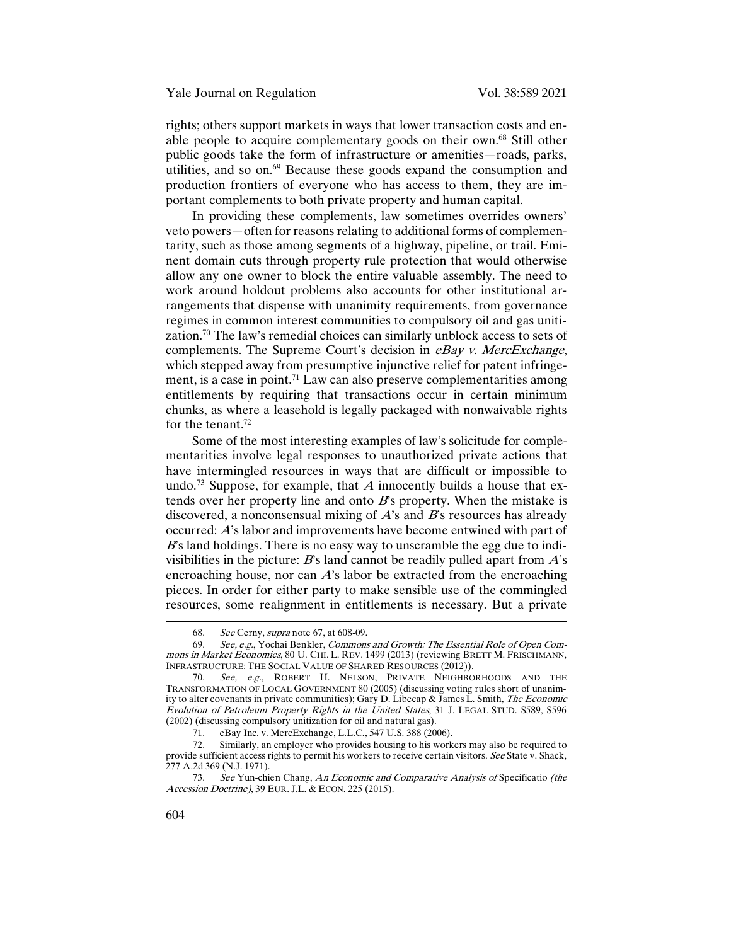rights; others support markets in ways that lower transaction costs and enable people to acquire complementary goods on their own.68 Still other public goods take the form of infrastructure or amenities—roads, parks, utilities, and so on.<sup>69</sup> Because these goods expand the consumption and production frontiers of everyone who has access to them, they are important complements to both private property and human capital.

In providing these complements, law sometimes overrides owners' veto powers—often for reasons relating to additional forms of complementarity, such as those among segments of a highway, pipeline, or trail. Eminent domain cuts through property rule protection that would otherwise allow any one owner to block the entire valuable assembly. The need to work around holdout problems also accounts for other institutional arrangements that dispense with unanimity requirements, from governance regimes in common interest communities to compulsory oil and gas unitization.<sup>70</sup> The law's remedial choices can similarly unblock access to sets of complements. The Supreme Court's decision in eBay v. MercExchange, which stepped away from presumptive injunctive relief for patent infringement, is a case in point.<sup>71</sup> Law can also preserve complementarities among entitlements by requiring that transactions occur in certain minimum chunks, as where a leasehold is legally packaged with nonwaivable rights for the tenant.<sup>72</sup>

Some of the most interesting examples of law's solicitude for complementarities involve legal responses to unauthorized private actions that have intermingled resources in ways that are difficult or impossible to undo.<sup>73</sup> Suppose, for example, that A innocently builds a house that extends over her property line and onto  $B$ 's property. When the mistake is discovered, a nonconsensual mixing of  $A$ 's and  $B$ 's resources has already occurred: A's labor and improvements have become entwined with part of  $B$ 's land holdings. There is no easy way to unscramble the egg due to indivisibilities in the picture:  $B$ 's land cannot be readily pulled apart from  $A$ 's encroaching house, nor can A's labor be extracted from the encroaching pieces. In order for either party to make sensible use of the commingled resources, some realignment in entitlements is necessary. But a private

<sup>68.</sup> See Cerny, supra note 67, at 608-09.<br>69. See, e.g., Yochai Benkler, Commons

See, e.g., Yochai Benkler, Commons and Growth: The Essential Role of Open Commons in Market Economies, 80 U. CHI. L. REV. 1499 (2013) (reviewing BRETT M. FRISCHMANN, INFRASTRUCTURE: THE SOCIAL VALUE OF SHARED RESOURCES (2012)).

<sup>70.</sup> See, e.g., ROBERT H. NELSON, PRIVATE NEIGHBORHOODS AND THE TRANSFORMATION OF LOCAL GOVERNMENT 80 (2005) (discussing voting rules short of unanimity to alter covenants in private communities); Gary D. Libecap & James L. Smith, The Economic Evolution of Petroleum Property Rights in the United States, 31 J. LEGAL STUD. S589, S596 (2002) (discussing compulsory unitization for oil and natural gas).

<sup>71.</sup> eBay Inc. v. MercExchange, L.L.C., 547 U.S. 388 (2006).<br>72. Similarly, an employer who provides housing to his work

Similarly, an employer who provides housing to his workers may also be required to provide sufficient access rights to permit his workers to receive certain visitors. See State v. Shack, 277 A.2d 369 (N.J. 1971).

<sup>73.</sup> See Yun-chien Chang, An Economic and Comparative Analysis of Specificatio (the Accession Doctrine), 39 EUR. J.L. & ECON. 225 (2015).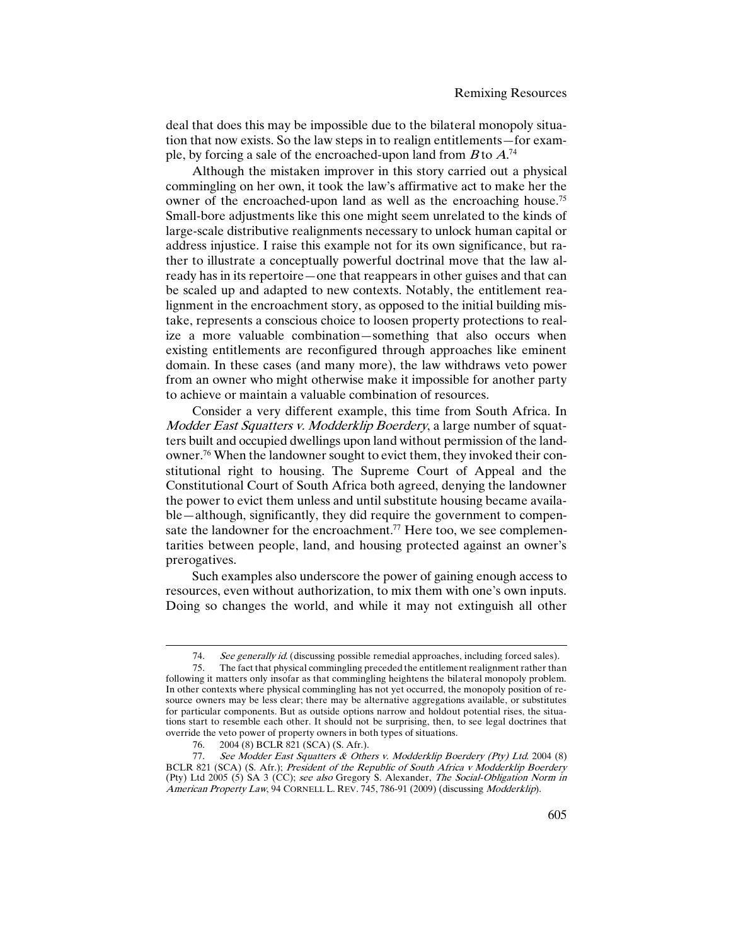deal that does this may be impossible due to the bilateral monopoly situation that now exists. So the law steps in to realign entitlements—for example, by forcing a sale of the encroached-upon land from  $B$  to  $A^{.74}$ 

Although the mistaken improver in this story carried out a physical commingling on her own, it took the law's affirmative act to make her the owner of the encroached-upon land as well as the encroaching house.<sup>75</sup> Small-bore adjustments like this one might seem unrelated to the kinds of large-scale distributive realignments necessary to unlock human capital or address injustice. I raise this example not for its own significance, but rather to illustrate a conceptually powerful doctrinal move that the law already has in its repertoire—one that reappears in other guises and that can be scaled up and adapted to new contexts. Notably, the entitlement realignment in the encroachment story, as opposed to the initial building mistake, represents a conscious choice to loosen property protections to realize a more valuable combination—something that also occurs when existing entitlements are reconfigured through approaches like eminent domain. In these cases (and many more), the law withdraws veto power from an owner who might otherwise make it impossible for another party to achieve or maintain a valuable combination of resources.

Consider a very different example, this time from South Africa. In Modder East Squatters v. Modderklip Boerdery, a large number of squatters built and occupied dwellings upon land without permission of the landowner.76 When the landowner sought to evict them, they invoked their constitutional right to housing. The Supreme Court of Appeal and the Constitutional Court of South Africa both agreed, denying the landowner the power to evict them unless and until substitute housing became available—although, significantly, they did require the government to compensate the landowner for the encroachment.<sup>77</sup> Here too, we see complementarities between people, land, and housing protected against an owner's prerogatives.

Such examples also underscore the power of gaining enough access to resources, even without authorization, to mix them with one's own inputs. Doing so changes the world, and while it may not extinguish all other

<sup>74.</sup> See generally id. (discussing possible remedial approaches, including forced sales).

<sup>75.</sup> The fact that physical commingling preceded the entitlementrealignment rather than following it matters only insofar as that commingling heightens the bilateral monopoly problem. In other contexts where physical commingling has not yet occurred, the monopoly position of resource owners may be less clear; there may be alternative aggregations available, or substitutes for particular components. But as outside options narrow and holdout potential rises, the situations start to resemble each other. It should not be surprising, then, to see legal doctrines that override the veto power of property owners in both types of situations.

<sup>76.</sup> 2004 (8) BCLR 821 (SCA) (S. Afr.).

<sup>77.</sup> See Modder East Squatters & Others v. Modderklip Boerdery (Pty) Ltd. 2004 (8) BCLR 821 (SCA) (S. Afr.); President of the Republic of South Africa v Modderklip Boerdery (Pty) Ltd 2005 (5) SA 3 (CC); see also Gregory S. Alexander, The Social-Obligation Norm in American Property Law, 94 CORNELL L. REV. 745, 786-91 (2009) (discussing Modderklip).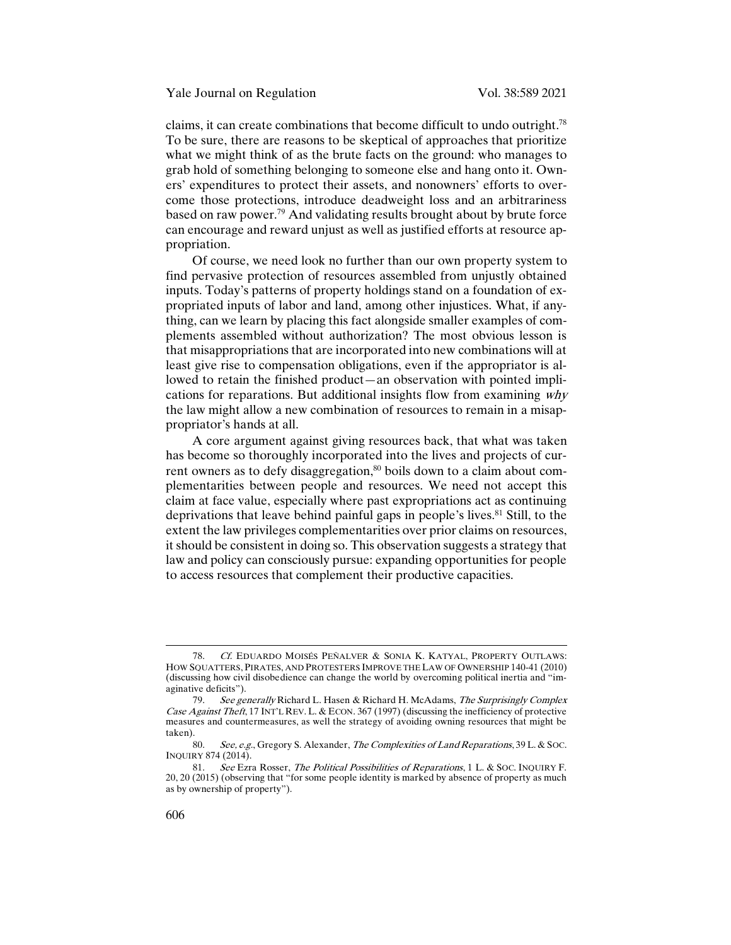claims, it can create combinations that become difficult to undo outright.78 To be sure, there are reasons to be skeptical of approaches that prioritize what we might think of as the brute facts on the ground: who manages to grab hold of something belonging to someone else and hang onto it. Owners' expenditures to protect their assets, and nonowners' efforts to overcome those protections, introduce deadweight loss and an arbitrariness based on raw power.79 And validating results brought about by brute force can encourage and reward unjust as well as justified efforts at resource appropriation.

Of course, we need look no further than our own property system to find pervasive protection of resources assembled from unjustly obtained inputs. Today's patterns of property holdings stand on a foundation of expropriated inputs of labor and land, among other injustices. What, if anything, can we learn by placing this fact alongside smaller examples of complements assembled without authorization? The most obvious lesson is that misappropriations that are incorporated into new combinations will at least give rise to compensation obligations, even if the appropriator is allowed to retain the finished product—an observation with pointed implications for reparations. But additional insights flow from examining why the law might allow a new combination of resources to remain in a misappropriator's hands at all.

A core argument against giving resources back, that what was taken has become so thoroughly incorporated into the lives and projects of current owners as to defy disaggregation, $80$  boils down to a claim about complementarities between people and resources. We need not accept this claim at face value, especially where past expropriations act as continuing deprivations that leave behind painful gaps in people's lives. <sup>81</sup> Still, to the extent the law privileges complementarities over prior claims on resources, it should be consistent in doing so. This observation suggests a strategy that law and policy can consciously pursue: expanding opportunities for people to access resources that complement their productive capacities.

<sup>78.</sup> Cf. EDUARDO MOISÉS PEÑALVER & SONIA K. KATYAL, PROPERTY OUTLAWS: HOW SQUATTERS, PIRATES, AND PROTESTERS IMPROVE THE LAW OF OWNERSHIP 140-41 (2010) (discussing how civil disobedience can change the world by overcoming political inertia and "imaginative deficits").<br> $79$  See ge.

See generally Richard L. Hasen & Richard H. McAdams, The Surprisingly Complex Case Against Theft, 17 INT'L REV. L. & ECON. 367 (1997) (discussing the inefficiency of protective measures and countermeasures, as well the strategy of avoiding owning resources that might be taken).

<sup>80.</sup> See, e.g., Gregory S. Alexander, The Complexities of Land Reparations, 39 L. & SOC. INQUIRY 874 (2014).

<sup>81.</sup> See Ezra Rosser, The Political Possibilities of Reparations, 1 L. & Soc. INQUIRY F. 20, 20 (2015) (observing that "for some people identity is marked by absence of property as much as by ownership of property").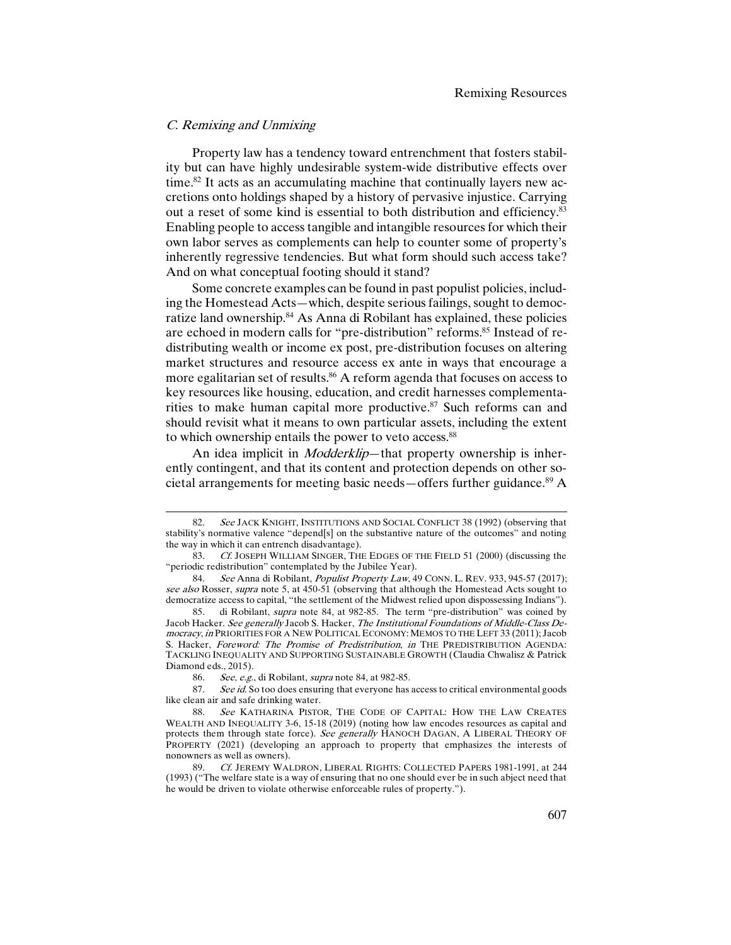#### C. Remixing and Unmixing

1

Property law has a tendency toward entrenchment that fosters stability but can have highly undesirable system-wide distributive effects over time.<sup>82</sup> It acts as an accumulating machine that continually layers new accretions onto holdings shaped by a history of pervasive injustice. Carrying out a reset of some kind is essential to both distribution and efficiency.83 Enabling people to access tangible and intangible resources for which their own labor serves as complements can help to counter some of property's inherently regressive tendencies. But what form should such access take? And on what conceptual footing should it stand?

Some concrete examples can be found in past populist policies, including the Homestead Acts—which, despite serious failings, sought to democratize land ownership.<sup>84</sup> As Anna di Robilant has explained, these policies are echoed in modern calls for "pre-distribution" reforms.<sup>85</sup> Instead of redistributing wealth or income ex post, pre-distribution focuses on altering market structures and resource access ex ante in ways that encourage a more egalitarian set of results.<sup>86</sup> A reform agenda that focuses on access to key resources like housing, education, and credit harnesses complementarities to make human capital more productive.<sup>87</sup> Such reforms can and should revisit what it means to own particular assets, including the extent to which ownership entails the power to veto access.<sup>88</sup>

An idea implicit in *Modderklip*—that property ownership is inherently contingent, and that its content and protection depends on other societal arrangements for meeting basic needs—offers further guidance.89 A

See JACK KNIGHT, INSTITUTIONS AND SOCIAL CONFLICT 38 (1992) (observing that stability's normative valence "depend[s] on the substantive nature of the outcomes" and noting the way in which it can entrench disadvantage).

<sup>83.</sup> Cf. JOSEPH WILLIAM SINGER, THE EDGES OF THE FIELD 51 (2000) (discussing the "periodic redistribution" contemplated by the Jubilee Year).

<sup>84.</sup> See Anna di Robilant, Populist Property Law, 49 CONN. L. REV. 933, 945-57 (2017); see also Rosser, supra note 5, at 450-51 (observing that although the Homestead Acts sought to democratize access to capital, "the settlement of the Midwest relied upon dispossessing Indians").

<sup>85.</sup> di Robilant, supra note 84, at 982-85. The term "pre-distribution" was coined by Jacob Hacker. See generally Jacob S. Hacker, The Institutional Foundations of Middle-Class Democracy, in PRIORITIES FOR A NEW POLITICAL ECONOMY: MEMOS TO THE LEFT 33 (2011); Jacob S. Hacker, Foreword: The Promise of Predistribution, in THE PREDISTRIBUTION AGENDA: TACKLING INEQUALITY AND SUPPORTING SUSTAINABLE GROWTH (Claudia Chwalisz & Patrick Diamond eds., 2015).

<sup>86.</sup> See, e.g., di Robilant, supra note 84, at 982-85.

<sup>87.</sup> See id. So too does ensuring that everyone has access to critical environmental goods like clean air and safe drinking water.

<sup>88.</sup> See KATHARINA PISTOR, THE CODE OF CAPITAL: HOW THE LAW CREATES WEALTH AND INEQUALITY 3-6, 15-18 (2019) (noting how law encodes resources as capital and protects them through state force). See generally HANOCH DAGAN, A LIBERAL THEORY OF PROPERTY (2021) (developing an approach to property that emphasizes the interests of nonowners as well as owners).

<sup>89.</sup> Cf. JEREMY WALDRON, LIBERAL RIGHTS: COLLECTED PAPERS 1981-1991, at 244 (1993) ("The welfare state is a way of ensuring that no one should ever be in such abject need that he would be driven to violate otherwise enforceable rules of property.").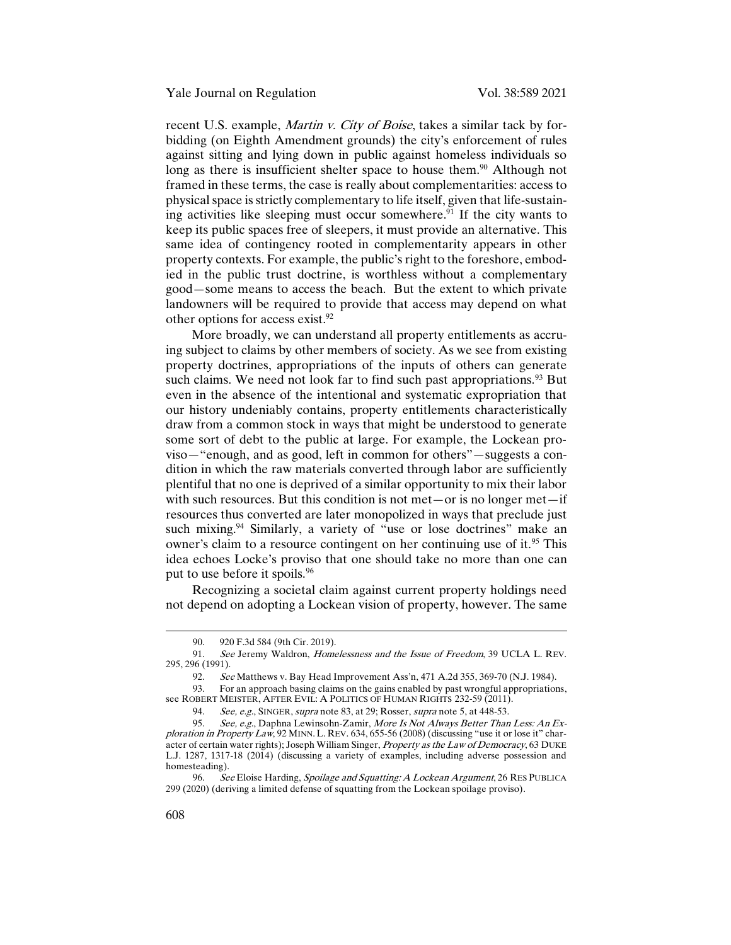recent U.S. example, Martin v. City of Boise, takes a similar tack by forbidding (on Eighth Amendment grounds) the city's enforcement of rules against sitting and lying down in public against homeless individuals so long as there is insufficient shelter space to house them.<sup>90</sup> Although not framed in these terms, the case is really about complementarities: access to physical space is strictly complementary to life itself, given that life-sustaining activities like sleeping must occur somewhere. $91$  If the city wants to keep its public spaces free of sleepers, it must provide an alternative. This same idea of contingency rooted in complementarity appears in other property contexts. For example, the public's right to the foreshore, embodied in the public trust doctrine, is worthless without a complementary good—some means to access the beach. But the extent to which private landowners will be required to provide that access may depend on what other options for access exist.<sup>92</sup>

More broadly, we can understand all property entitlements as accruing subject to claims by other members of society. As we see from existing property doctrines, appropriations of the inputs of others can generate such claims. We need not look far to find such past appropriations.  $93$  But even in the absence of the intentional and systematic expropriation that our history undeniably contains, property entitlements characteristically draw from a common stock in ways that might be understood to generate some sort of debt to the public at large. For example, the Lockean proviso—"enough, and as good, left in common for others"—suggests a condition in which the raw materials converted through labor are sufficiently plentiful that no one is deprived of a similar opportunity to mix their labor with such resources. But this condition is not met—or is no longer met—if resources thus converted are later monopolized in ways that preclude just such mixing.<sup>94</sup> Similarly, a variety of "use or lose doctrines" make an owner's claim to a resource contingent on her continuing use of it.<sup>95</sup> This idea echoes Locke's proviso that one should take no more than one can put to use before it spoils.96

Recognizing a societal claim against current property holdings need not depend on adopting a Lockean vision of property, however. The same

<sup>90.</sup> 920 F.3d 584 (9th Cir. 2019).

<sup>91.</sup> See Jeremy Waldron, *Homelessness and the Issue of Freedom*, 39 UCLA L. REV. 295, 296 (1991).

<sup>92.</sup> See Matthews v. Bay Head Improvement Ass'n, 471 A.2d 355, 369-70 (N.J. 1984).

<sup>93.</sup> For an approach basing claims on the gains enabled by past wrongful appropriations, see ROBERT MEISTER, AFTER EVIL: A POLITICS OF HUMAN RIGHTS 232-59 (2011).

<sup>94.</sup> See, e.g., SINGER, supra note 83, at 29; Rosser, supra note 5, at 448-53.

See, e.g., Daphna Lewinsohn-Zamir, More Is Not Always Better Than Less: An Exploration in Property Law, 92 MINN. L. REV. 634, 655-56 (2008) (discussing "use it or lose it" character of certain water rights); Joseph William Singer, Property as the Law of Democracy, 63 DUKE L.J. 1287, 1317-18 (2014) (discussing a variety of examples, including adverse possession and homesteading).

<sup>96.</sup> See Eloise Harding, Spoilage and Squatting: A Lockean Argument, 26 RES PUBLICA 299 (2020) (deriving a limited defense of squatting from the Lockean spoilage proviso).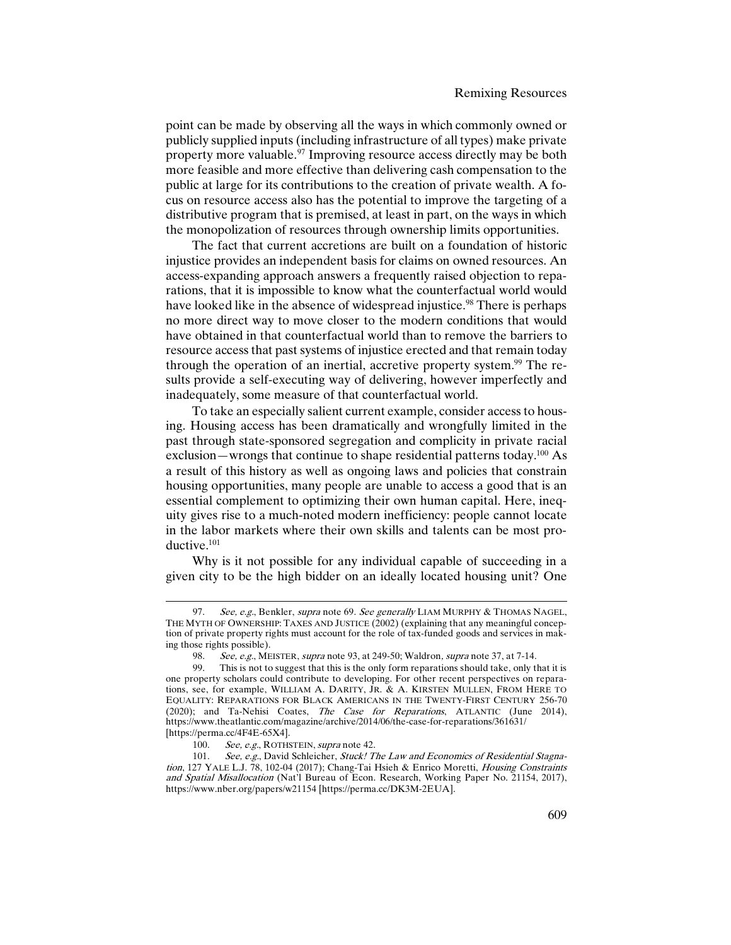point can be made by observing all the ways in which commonly owned or publicly supplied inputs (including infrastructure of all types) make private property more valuable.<sup>97</sup> Improving resource access directly may be both more feasible and more effective than delivering cash compensation to the public at large for its contributions to the creation of private wealth. A focus on resource access also has the potential to improve the targeting of a distributive program that is premised, at least in part, on the ways in which the monopolization of resources through ownership limits opportunities.

The fact that current accretions are built on a foundation of historic injustice provides an independent basis for claims on owned resources. An access-expanding approach answers a frequently raised objection to reparations, that it is impossible to know what the counterfactual world would have looked like in the absence of widespread injustice.<sup>98</sup> There is perhaps no more direct way to move closer to the modern conditions that would have obtained in that counterfactual world than to remove the barriers to resource access that past systems of injustice erected and that remain today through the operation of an inertial, accretive property system.<sup>99</sup> The results provide a self-executing way of delivering, however imperfectly and inadequately, some measure of that counterfactual world.

To take an especially salient current example, consider access to housing. Housing access has been dramatically and wrongfully limited in the past through state-sponsored segregation and complicity in private racial exclusion—wrongs that continue to shape residential patterns today.<sup>100</sup> As a result of this history as well as ongoing laws and policies that constrain housing opportunities, many people are unable to access a good that is an essential complement to optimizing their own human capital. Here, inequity gives rise to a much-noted modern inefficiency: people cannot locate in the labor markets where their own skills and talents can be most productive.101

Why is it not possible for any individual capable of succeeding in a given city to be the high bidder on an ideally located housing unit? One

<sup>97.</sup> See, e.g., Benkler, supra note 69. See generally LIAM MURPHY & THOMAS NAGEL, THE MYTH OF OWNERSHIP: TAXES AND JUSTICE (2002) (explaining that any meaningful conception of private property rights must account for the role of tax-funded goods and services in making those rights possible).

<sup>98.</sup> See, e.g., MEISTER, supra note 93, at 249-50; Waldron, supra note 37, at 7-14.<br>99. This is not to suggest that this is the only form reparations should take, only the

This is not to suggest that this is the only form reparations should take, only that it is one property scholars could contribute to developing. For other recent perspectives on reparations, see, for example, WILLIAM A. DARITY, JR. & A. KIRSTEN MULLEN, FROM HERE TO EQUALITY: REPARATIONS FOR BLACK AMERICANS IN THE TWENTY-FIRST CENTURY 256-70 (2020); and Ta-Nehisi Coates, The Case for Reparations, ATLANTIC (June 2014), https://www.theatlantic.com/magazine/archive/2014/06/the-case-for-reparations/361631/ [https://perma.cc/4F4E-65X4].<br>100. See, e.g., ROTHS

See, e.g., ROTHSTEIN, supra note 42.

<sup>101.</sup> See, e.g., David Schleicher, Stuck! The Law and Economics of Residential Stagnation, 127 YALE L.J. 78, 102-04 (2017); Chang-Tai Hsieh & Enrico Moretti, Housing Constraints and Spatial Misallocation (Nat'l Bureau of Econ. Research, Working Paper No. 21154, 2017), https://www.nber.org/papers/w21154 [https://perma.cc/DK3M-2EUA].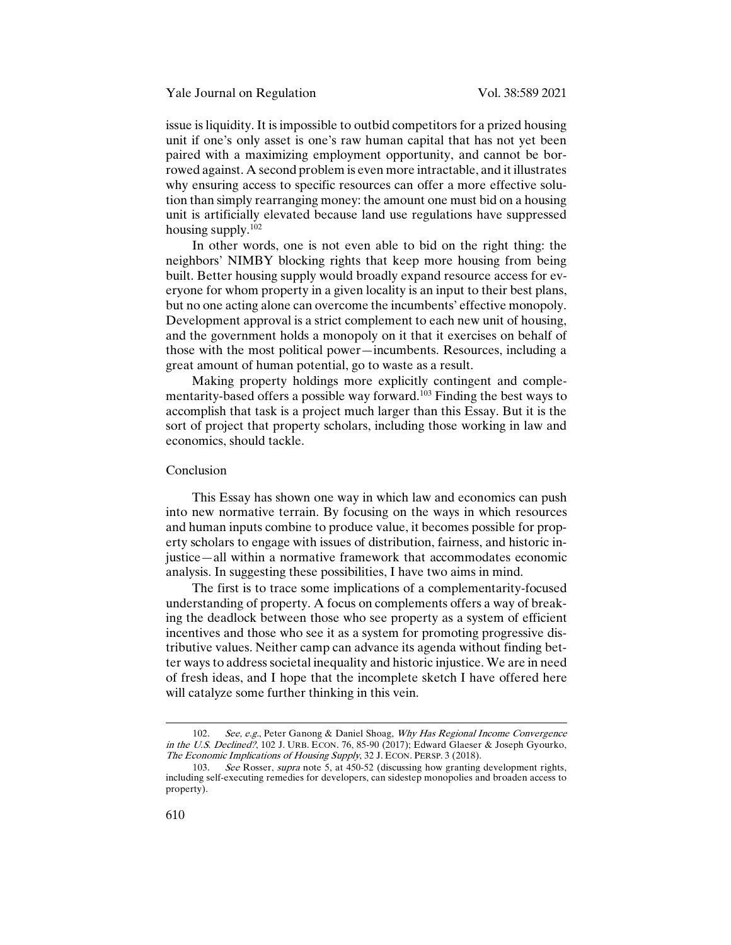issue is liquidity. It is impossible to outbid competitors for a prized housing unit if one's only asset is one's raw human capital that has not yet been paired with a maximizing employment opportunity, and cannot be borrowed against. A second problem is even more intractable, and it illustrates why ensuring access to specific resources can offer a more effective solution than simply rearranging money: the amount one must bid on a housing unit is artificially elevated because land use regulations have suppressed housing supply.102

In other words, one is not even able to bid on the right thing: the neighbors' NIMBY blocking rights that keep more housing from being built. Better housing supply would broadly expand resource access for everyone for whom property in a given locality is an input to their best plans, but no one acting alone can overcome the incumbents' effective monopoly. Development approval is a strict complement to each new unit of housing, and the government holds a monopoly on it that it exercises on behalf of those with the most political power—incumbents. Resources, including a great amount of human potential, go to waste as a result.

Making property holdings more explicitly contingent and complementarity-based offers a possible way forward.<sup>103</sup> Finding the best ways to accomplish that task is a project much larger than this Essay. But it is the sort of project that property scholars, including those working in law and economics, should tackle.

# Conclusion

This Essay has shown one way in which law and economics can push into new normative terrain. By focusing on the ways in which resources and human inputs combine to produce value, it becomes possible for property scholars to engage with issues of distribution, fairness, and historic injustice—all within a normative framework that accommodates economic analysis. In suggesting these possibilities, I have two aims in mind.

The first is to trace some implications of a complementarity-focused understanding of property. A focus on complements offers a way of breaking the deadlock between those who see property as a system of efficient incentives and those who see it as a system for promoting progressive distributive values. Neither camp can advance its agenda without finding better ways to address societal inequality and historic injustice. We are in need of fresh ideas, and I hope that the incomplete sketch I have offered here will catalyze some further thinking in this vein.

<sup>102.</sup> See, e.g., Peter Ganong & Daniel Shoag, Why Has Regional Income Convergence in the U.S. Declined?, 102 J. URB. ECON. 76, 85-90 (2017); Edward Glaeser & Joseph Gyourko, The Economic Implications of Housing Supply, 32 J. ECON. PERSP. 3 (2018).

<sup>103.</sup> See Rosser, supra note 5, at 450-52 (discussing how granting development rights, including self-executing remedies for developers, can sidestep monopolies and broaden access to property).